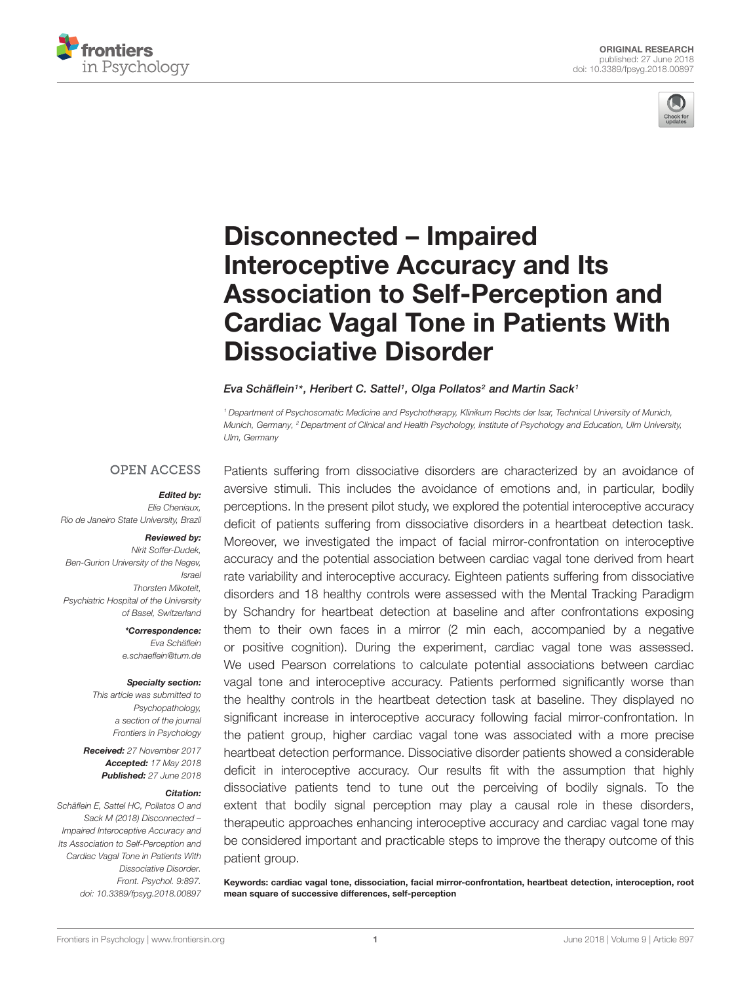



# Disconnected – Impaired Interoceptive Accuracy and Its Association to Self-Perception and [Cardiac Vagal Tone in Patients With](https://www.frontiersin.org/articles/10.3389/fpsyg.2018.00897/full) Dissociative Disorder

#### [Eva Schäflein](http://loop.frontiersin.org/people/498907/overview)1\*, [Heribert C. Sattel](http://loop.frontiersin.org/people/206625/overview)1, [Olga Pollatos](http://loop.frontiersin.org/people/94581/overview)<sup>2</sup> and Martin Sack1

<sup>1</sup> Department of Psychosomatic Medicine and Psychotherapy, Klinikum Rechts der Isar, Technical University of Munich, Munich, Germany, <sup>2</sup> Department of Clinical and Health Psychology, Institute of Psychology and Education, Ulm University, Ulm, Germany

#### **OPEN ACCESS**

#### Edited by:

Elie Cheniaux, Rio de Janeiro State University, Brazil

#### Reviewed by:

Nirit Soffer-Dudek, Ben-Gurion University of the Negev, Israel Thorsten Mikoteit, Psychiatric Hospital of the University of Basel, Switzerland

> \*Correspondence: Eva Schäflein e.schaeflein@tum.de

#### Specialty section:

This article was submitted to Psychopathology, a section of the journal Frontiers in Psychology

Received: 27 November 2017 Accepted: 17 May 2018 Published: 27 June 2018

#### Citation:

Schäflein E, Sattel HC, Pollatos O and Sack M (2018) Disconnected – Impaired Interoceptive Accuracy and Its Association to Self-Perception and Cardiac Vagal Tone in Patients With Dissociative Disorder. Front. Psychol. 9:897. doi: [10.3389/fpsyg.2018.00897](https://doi.org/10.3389/fpsyg.2018.00897)

Patients suffering from dissociative disorders are characterized by an avoidance of aversive stimuli. This includes the avoidance of emotions and, in particular, bodily perceptions. In the present pilot study, we explored the potential interoceptive accuracy deficit of patients suffering from dissociative disorders in a heartbeat detection task. Moreover, we investigated the impact of facial mirror-confrontation on interoceptive accuracy and the potential association between cardiac vagal tone derived from heart rate variability and interoceptive accuracy. Eighteen patients suffering from dissociative disorders and 18 healthy controls were assessed with the Mental Tracking Paradigm by Schandry for heartbeat detection at baseline and after confrontations exposing them to their own faces in a mirror (2 min each, accompanied by a negative or positive cognition). During the experiment, cardiac vagal tone was assessed. We used Pearson correlations to calculate potential associations between cardiac vagal tone and interoceptive accuracy. Patients performed significantly worse than the healthy controls in the heartbeat detection task at baseline. They displayed no significant increase in interoceptive accuracy following facial mirror-confrontation. In the patient group, higher cardiac vagal tone was associated with a more precise heartbeat detection performance. Dissociative disorder patients showed a considerable deficit in interoceptive accuracy. Our results fit with the assumption that highly dissociative patients tend to tune out the perceiving of bodily signals. To the extent that bodily signal perception may play a causal role in these disorders, therapeutic approaches enhancing interoceptive accuracy and cardiac vagal tone may be considered important and practicable steps to improve the therapy outcome of this patient group.

Keywords: cardiac vagal tone, dissociation, facial mirror-confrontation, heartbeat detection, interoception, root mean square of successive differences, self-perception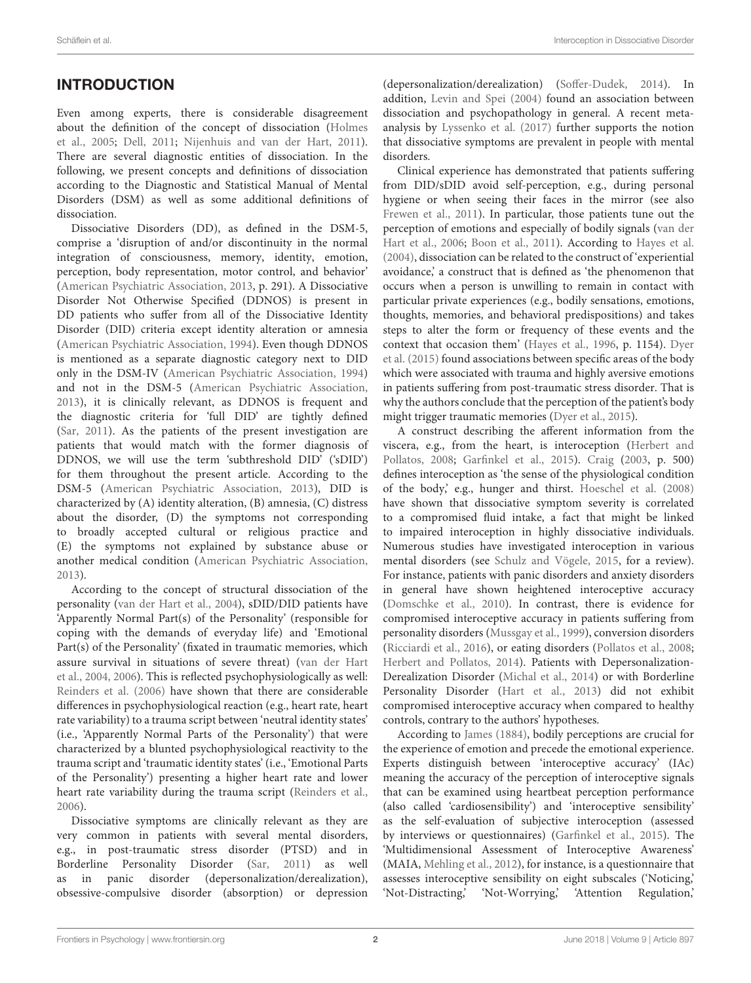# **INTRODUCTION**

Even among experts, there is considerable disagreement about the definition of the concept of dissociation [\(Holmes](#page-10-0) [et al.,](#page-10-0) [2005;](#page-10-0) [Dell,](#page-9-0) [2011;](#page-9-0) [Nijenhuis and van der Hart,](#page-10-1) [2011\)](#page-10-1). There are several diagnostic entities of dissociation. In the following, we present concepts and definitions of dissociation according to the Diagnostic and Statistical Manual of Mental Disorders (DSM) as well as some additional definitions of dissociation.

Dissociative Disorders (DD), as defined in the DSM-5, comprise a 'disruption of and/or discontinuity in the normal integration of consciousness, memory, identity, emotion, perception, body representation, motor control, and behavior' [\(American Psychiatric Association,](#page-9-1) [2013,](#page-9-1) p. 291). A Dissociative Disorder Not Otherwise Specified (DDNOS) is present in DD patients who suffer from all of the Dissociative Identity Disorder (DID) criteria except identity alteration or amnesia [\(American Psychiatric Association,](#page-9-2) [1994\)](#page-9-2). Even though DDNOS is mentioned as a separate diagnostic category next to DID only in the DSM-IV [\(American Psychiatric Association,](#page-9-2) [1994\)](#page-9-2) and not in the DSM-5 [\(American Psychiatric Association,](#page-9-1) [2013\)](#page-9-1), it is clinically relevant, as DDNOS is frequent and the diagnostic criteria for 'full DID' are tightly defined [\(Sar,](#page-11-0) [2011\)](#page-11-0). As the patients of the present investigation are patients that would match with the former diagnosis of DDNOS, we will use the term 'subthreshold DID' ('sDID') for them throughout the present article. According to the DSM-5 [\(American Psychiatric Association,](#page-9-1) [2013\)](#page-9-1), DID is characterized by (A) identity alteration, (B) amnesia, (C) distress about the disorder, (D) the symptoms not corresponding to broadly accepted cultural or religious practice and (E) the symptoms not explained by substance abuse or another medical condition [\(American Psychiatric Association,](#page-9-1) [2013\)](#page-9-1).

According to the concept of structural dissociation of the personality [\(van der Hart et al.,](#page-11-1) [2004\)](#page-11-1), sDID/DID patients have 'Apparently Normal Part(s) of the Personality' (responsible for coping with the demands of everyday life) and 'Emotional Part(s) of the Personality' (fixated in traumatic memories, which assure survival in situations of severe threat) [\(van der Hart](#page-11-1) [et al.,](#page-11-1) [2004,](#page-11-1) [2006\)](#page-11-2). This is reflected psychophysiologically as well: [Reinders et al.](#page-10-2) [\(2006\)](#page-10-2) have shown that there are considerable differences in psychophysiological reaction (e.g., heart rate, heart rate variability) to a trauma script between 'neutral identity states' (i.e., 'Apparently Normal Parts of the Personality') that were characterized by a blunted psychophysiological reactivity to the trauma script and 'traumatic identity states' (i.e., 'Emotional Parts of the Personality') presenting a higher heart rate and lower heart rate variability during the trauma script [\(Reinders et al.,](#page-10-2) [2006\)](#page-10-2).

Dissociative symptoms are clinically relevant as they are very common in patients with several mental disorders, e.g., in post-traumatic stress disorder (PTSD) and in Borderline Personality Disorder [\(Sar,](#page-11-0) [2011\)](#page-11-0) as well as in panic disorder (depersonalization/derealization), obsessive-compulsive disorder (absorption) or depression

(depersonalization/derealization) [\(Soffer-Dudek,](#page-11-3) [2014\)](#page-11-3). In addition, [Levin and Spei](#page-10-3) [\(2004\)](#page-10-3) found an association between dissociation and psychopathology in general. A recent metaanalysis by [Lyssenko et al.](#page-10-4) [\(2017\)](#page-10-4) further supports the notion that dissociative symptoms are prevalent in people with mental disorders.

Clinical experience has demonstrated that patients suffering from DID/sDID avoid self-perception, e.g., during personal hygiene or when seeing their faces in the mirror (see also [Frewen et al.,](#page-9-3) [2011\)](#page-9-3). In particular, those patients tune out the perception of emotions and especially of bodily signals [\(van der](#page-11-2) [Hart et al.,](#page-11-2) [2006;](#page-11-2) [Boon et al.,](#page-9-4) [2011\)](#page-9-4). According to [Hayes et al.](#page-10-5) [\(2004\)](#page-10-5), dissociation can be related to the construct of 'experiential avoidance,' a construct that is defined as 'the phenomenon that occurs when a person is unwilling to remain in contact with particular private experiences (e.g., bodily sensations, emotions, thoughts, memories, and behavioral predispositions) and takes steps to alter the form or frequency of these events and the context that occasion them' [\(Hayes et al.,](#page-10-6) [1996,](#page-10-6) p. 1154). [Dyer](#page-9-5) [et al.](#page-9-5) [\(2015\)](#page-9-5) found associations between specific areas of the body which were associated with trauma and highly aversive emotions in patients suffering from post-traumatic stress disorder. That is why the authors conclude that the perception of the patient's body might trigger traumatic memories [\(Dyer et al.,](#page-9-5) [2015\)](#page-9-5).

A construct describing the afferent information from the viscera, e.g., from the heart, is interoception [\(Herbert and](#page-10-7) [Pollatos,](#page-10-7) [2008;](#page-10-7) [Garfinkel et al.,](#page-10-8) [2015\)](#page-10-8). [Craig](#page-9-6) [\(2003,](#page-9-6) p. 500) defines interoception as 'the sense of the physiological condition of the body,' e.g., hunger and thirst. [Hoeschel et al.](#page-10-9) [\(2008\)](#page-10-9) have shown that dissociative symptom severity is correlated to a compromised fluid intake, a fact that might be linked to impaired interoception in highly dissociative individuals. Numerous studies have investigated interoception in various mental disorders (see [Schulz and Vögele,](#page-11-4) [2015,](#page-11-4) for a review). For instance, patients with panic disorders and anxiety disorders in general have shown heightened interoceptive accuracy [\(Domschke et al.,](#page-9-7) [2010\)](#page-9-7). In contrast, there is evidence for compromised interoceptive accuracy in patients suffering from personality disorders [\(Mussgay et al.,](#page-10-10) [1999\)](#page-10-10), conversion disorders [\(Ricciardi et al.,](#page-10-11) [2016\)](#page-10-11), or eating disorders [\(Pollatos et al.,](#page-10-12) [2008;](#page-10-12) [Herbert and Pollatos,](#page-10-13) [2014\)](#page-10-13). Patients with Depersonalization-Derealization Disorder [\(Michal et al.,](#page-10-14) [2014\)](#page-10-14) or with Borderline Personality Disorder [\(Hart et al.,](#page-10-15) [2013\)](#page-10-15) did not exhibit compromised interoceptive accuracy when compared to healthy controls, contrary to the authors' hypotheses.

According to [James](#page-10-16) [\(1884\)](#page-10-16), bodily perceptions are crucial for the experience of emotion and precede the emotional experience. Experts distinguish between 'interoceptive accuracy' (IAc) meaning the accuracy of the perception of interoceptive signals that can be examined using heartbeat perception performance (also called 'cardiosensibility') and 'interoceptive sensibility' as the self-evaluation of subjective interoception (assessed by interviews or questionnaires) [\(Garfinkel et al.,](#page-10-8) [2015\)](#page-10-8). The 'Multidimensional Assessment of Interoceptive Awareness' (MAIA, [Mehling et al.,](#page-10-17) [2012\)](#page-10-17), for instance, is a questionnaire that assesses interoceptive sensibility on eight subscales ('Noticing,' 'Not-Distracting,' 'Not-Worrying,' 'Attention Regulation,'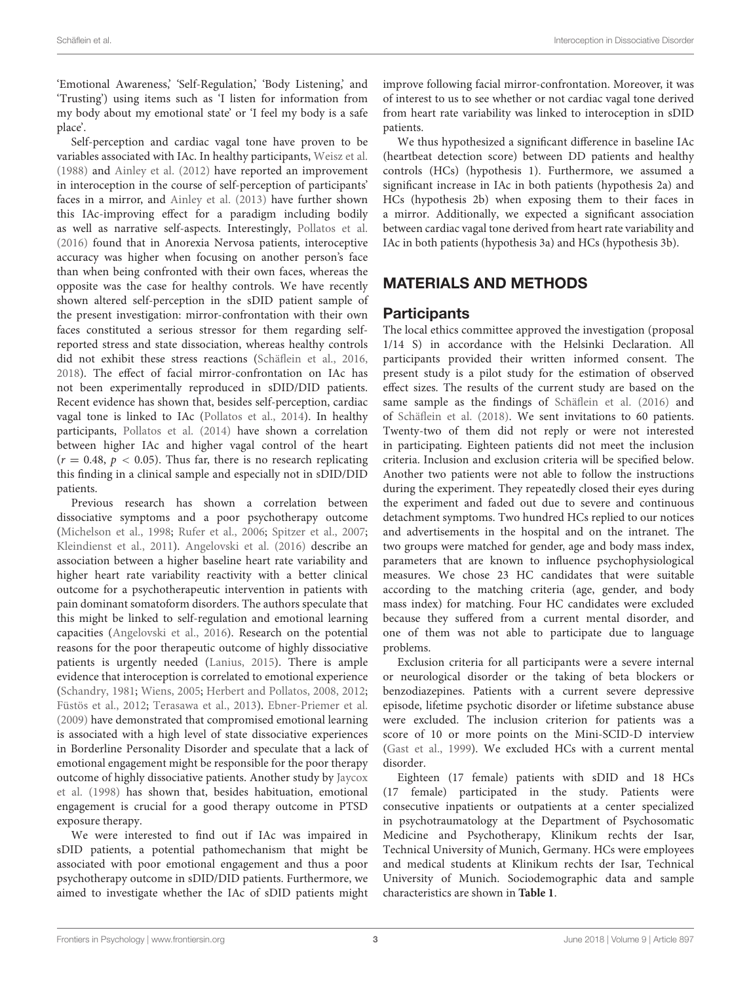'Emotional Awareness,' 'Self-Regulation,' 'Body Listening,' and 'Trusting') using items such as 'I listen for information from my body about my emotional state' or 'I feel my body is a safe place'.

Self-perception and cardiac vagal tone have proven to be variables associated with IAc. In healthy participants, [Weisz et al.](#page-11-5) [\(1988\)](#page-11-5) and [Ainley et al.](#page-9-8) [\(2012\)](#page-9-8) have reported an improvement in interoception in the course of self-perception of participants' faces in a mirror, and [Ainley et al.](#page-9-9) [\(2013\)](#page-9-9) have further shown this IAc-improving effect for a paradigm including bodily as well as narrative self-aspects. Interestingly, [Pollatos et al.](#page-10-18) [\(2016\)](#page-10-18) found that in Anorexia Nervosa patients, interoceptive accuracy was higher when focusing on another person's face than when being confronted with their own faces, whereas the opposite was the case for healthy controls. We have recently shown altered self-perception in the sDID patient sample of the present investigation: mirror-confrontation with their own faces constituted a serious stressor for them regarding selfreported stress and state dissociation, whereas healthy controls did not exhibit these stress reactions [\(Schäflein et al.,](#page-11-6) [2016,](#page-11-6) [2018\)](#page-11-7). The effect of facial mirror-confrontation on IAc has not been experimentally reproduced in sDID/DID patients. Recent evidence has shown that, besides self-perception, cardiac vagal tone is linked to IAc [\(Pollatos et al.,](#page-10-19) [2014\)](#page-10-19). In healthy participants, [Pollatos et al.](#page-10-19) [\(2014\)](#page-10-19) have shown a correlation between higher IAc and higher vagal control of the heart  $(r = 0.48, p < 0.05)$ . Thus far, there is no research replicating this finding in a clinical sample and especially not in sDID/DID patients.

Previous research has shown a correlation between dissociative symptoms and a poor psychotherapy outcome [\(Michelson et al.,](#page-10-20) [1998;](#page-10-20) [Rufer et al.,](#page-10-21) [2006;](#page-10-21) [Spitzer et al.,](#page-11-8) [2007;](#page-11-8) [Kleindienst et al.,](#page-10-22) [2011\)](#page-10-22). [Angelovski et al.](#page-9-10) [\(2016\)](#page-9-10) describe an association between a higher baseline heart rate variability and higher heart rate variability reactivity with a better clinical outcome for a psychotherapeutic intervention in patients with pain dominant somatoform disorders. The authors speculate that this might be linked to self-regulation and emotional learning capacities [\(Angelovski et al.,](#page-9-10) [2016\)](#page-9-10). Research on the potential reasons for the poor therapeutic outcome of highly dissociative patients is urgently needed [\(Lanius,](#page-10-23) [2015\)](#page-10-23). There is ample evidence that interoception is correlated to emotional experience [\(Schandry,](#page-11-9) [1981;](#page-11-9) [Wiens,](#page-11-10) [2005;](#page-11-10) [Herbert and Pollatos,](#page-10-7) [2008,](#page-10-7) [2012;](#page-10-24) [Füstös et al.,](#page-10-25) [2012;](#page-10-25) [Terasawa et al.,](#page-11-11) [2013\)](#page-11-11). [Ebner-Priemer et al.](#page-9-11) [\(2009\)](#page-9-11) have demonstrated that compromised emotional learning is associated with a high level of state dissociative experiences in Borderline Personality Disorder and speculate that a lack of emotional engagement might be responsible for the poor therapy outcome of highly dissociative patients. Another study by [Jaycox](#page-10-26) [et al.](#page-10-26) [\(1998\)](#page-10-26) has shown that, besides habituation, emotional engagement is crucial for a good therapy outcome in PTSD exposure therapy.

We were interested to find out if IAc was impaired in sDID patients, a potential pathomechanism that might be associated with poor emotional engagement and thus a poor psychotherapy outcome in sDID/DID patients. Furthermore, we aimed to investigate whether the IAc of sDID patients might improve following facial mirror-confrontation. Moreover, it was of interest to us to see whether or not cardiac vagal tone derived from heart rate variability was linked to interoception in sDID patients.

We thus hypothesized a significant difference in baseline IAc (heartbeat detection score) between DD patients and healthy controls (HCs) (hypothesis 1). Furthermore, we assumed a significant increase in IAc in both patients (hypothesis 2a) and HCs (hypothesis 2b) when exposing them to their faces in a mirror. Additionally, we expected a significant association between cardiac vagal tone derived from heart rate variability and IAc in both patients (hypothesis 3a) and HCs (hypothesis 3b).

# MATERIALS AND METHODS

### **Participants**

The local ethics committee approved the investigation (proposal 1/14 S) in accordance with the Helsinki Declaration. All participants provided their written informed consent. The present study is a pilot study for the estimation of observed effect sizes. The results of the current study are based on the same sample as the findings of [Schäflein et al.](#page-11-6) [\(2016\)](#page-11-6) and of [Schäflein et al.](#page-11-7) [\(2018\)](#page-11-7). We sent invitations to 60 patients. Twenty-two of them did not reply or were not interested in participating. Eighteen patients did not meet the inclusion criteria. Inclusion and exclusion criteria will be specified below. Another two patients were not able to follow the instructions during the experiment. They repeatedly closed their eyes during the experiment and faded out due to severe and continuous detachment symptoms. Two hundred HCs replied to our notices and advertisements in the hospital and on the intranet. The two groups were matched for gender, age and body mass index, parameters that are known to influence psychophysiological measures. We chose 23 HC candidates that were suitable according to the matching criteria (age, gender, and body mass index) for matching. Four HC candidates were excluded because they suffered from a current mental disorder, and one of them was not able to participate due to language problems.

Exclusion criteria for all participants were a severe internal or neurological disorder or the taking of beta blockers or benzodiazepines. Patients with a current severe depressive episode, lifetime psychotic disorder or lifetime substance abuse were excluded. The inclusion criterion for patients was a score of 10 or more points on the Mini-SCID-D interview [\(Gast et al.,](#page-10-27) [1999\)](#page-10-27). We excluded HCs with a current mental disorder.

Eighteen (17 female) patients with sDID and 18 HCs (17 female) participated in the study. Patients were consecutive inpatients or outpatients at a center specialized in psychotraumatology at the Department of Psychosomatic Medicine and Psychotherapy, Klinikum rechts der Isar, Technical University of Munich, Germany. HCs were employees and medical students at Klinikum rechts der Isar, Technical University of Munich. Sociodemographic data and sample characteristics are shown in **[Table 1](#page-3-0)**.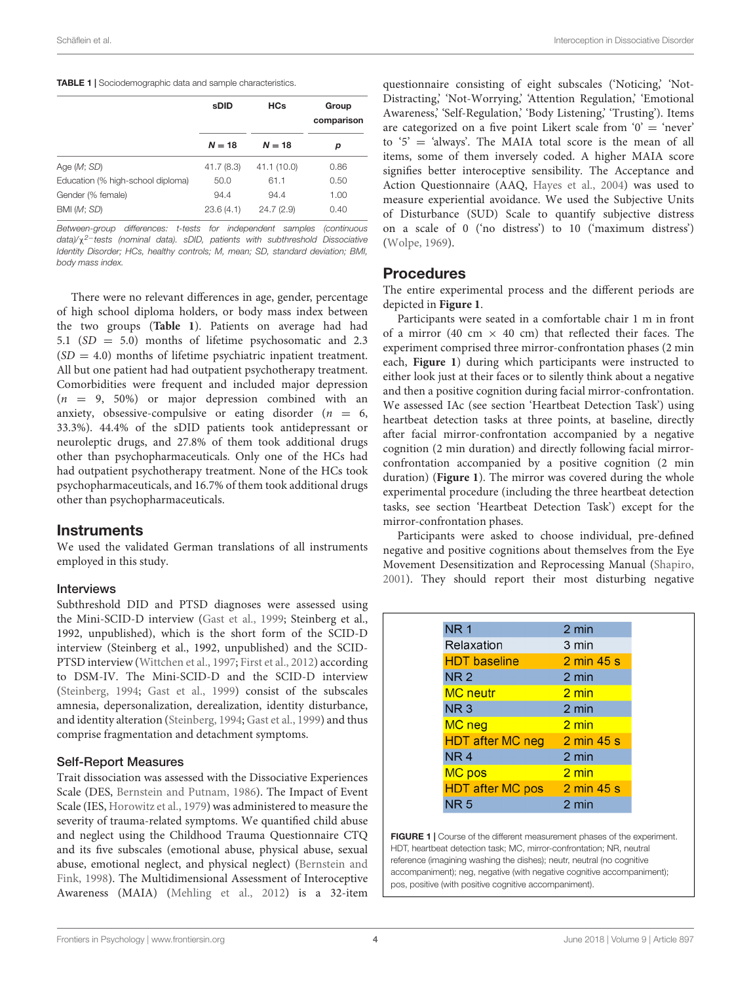#### <span id="page-3-0"></span>TABLE 1 | Sociodemographic data and sample characteristics.

|                                   | <b>HCs</b><br>sDID |             | Group<br>comparison |  |  |
|-----------------------------------|--------------------|-------------|---------------------|--|--|
|                                   | $N = 18$           | $N = 18$    | р                   |  |  |
| Age (M; SD)                       | 41.7(8.3)          | 41.1 (10.0) | 0.86                |  |  |
| Education (% high-school diploma) | 50.0               | 61.1        | 0.50                |  |  |
| Gender (% female)                 | 94.4               | 94.4        | 1.00                |  |  |
| BMI (M; SD)                       | 23.6(4.1)          | 24.7(2.9)   | 0.40                |  |  |

Between-group differences: t-tests for independent samples (continuous data)/χ<sup>2−</sup>tests (nominal data). sDID, patients with subthreshold Dissociative Identity Disorder; HCs, healthy controls; M, mean; SD, standard deviation; BMI, body mass index.

There were no relevant differences in age, gender, percentage of high school diploma holders, or body mass index between the two groups (**[Table 1](#page-3-0)**). Patients on average had had 5.1 (SD = 5.0) months of lifetime psychosomatic and 2.3  $(SD = 4.0)$  months of lifetime psychiatric inpatient treatment. All but one patient had had outpatient psychotherapy treatment. Comorbidities were frequent and included major depression  $(n = 9, 50\%)$  or major depression combined with an anxiety, obsessive-compulsive or eating disorder  $(n = 6,$ 33.3%). 44.4% of the sDID patients took antidepressant or neuroleptic drugs, and 27.8% of them took additional drugs other than psychopharmaceuticals. Only one of the HCs had had outpatient psychotherapy treatment. None of the HCs took psychopharmaceuticals, and 16.7% of them took additional drugs other than psychopharmaceuticals.

### **Instruments**

We used the validated German translations of all instruments employed in this study.

#### Interviews

Subthreshold DID and PTSD diagnoses were assessed using the Mini-SCID-D interview [\(Gast et al.,](#page-10-27) [1999;](#page-10-27) Steinberg et al., 1992, unpublished), which is the short form of the SCID-D interview (Steinberg et al., 1992, unpublished) and the SCID-PTSD interview [\(Wittchen et al.,](#page-11-12) [1997;](#page-11-12) [First et al.,](#page-9-12) [2012\)](#page-9-12) according to DSM-IV. The Mini-SCID-D and the SCID-D interview [\(Steinberg,](#page-11-13) [1994;](#page-11-13) [Gast et al.,](#page-10-27) [1999\)](#page-10-27) consist of the subscales amnesia, depersonalization, derealization, identity disturbance, and identity alteration [\(Steinberg,](#page-11-13) [1994;](#page-11-13) [Gast et al.,](#page-10-27) [1999\)](#page-10-27) and thus comprise fragmentation and detachment symptoms.

#### Self-Report Measures

Trait dissociation was assessed with the Dissociative Experiences Scale (DES, [Bernstein and Putnam,](#page-9-13) [1986\)](#page-9-13). The Impact of Event Scale (IES, [Horowitz et al.,](#page-10-28) [1979\)](#page-10-28) was administered to measure the severity of trauma-related symptoms. We quantified child abuse and neglect using the Childhood Trauma Questionnaire CTQ and its five subscales (emotional abuse, physical abuse, sexual abuse, emotional neglect, and physical neglect) [\(Bernstein and](#page-9-14) [Fink,](#page-9-14) [1998\)](#page-9-14). The Multidimensional Assessment of Interoceptive Awareness (MAIA) [\(Mehling et al.,](#page-10-17) [2012\)](#page-10-17) is a 32-item

Schäflein et al. Interoception in Dissociative Disorder

questionnaire consisting of eight subscales ('Noticing,' 'Not-Distracting,' 'Not-Worrying,' 'Attention Regulation,' 'Emotional Awareness,' 'Self-Regulation,' 'Body Listening,' 'Trusting'). Items are categorized on a five point Likert scale from  $0' = 'never'$ to '5' = 'always'. The MAIA total score is the mean of all items, some of them inversely coded. A higher MAIA score signifies better interoceptive sensibility. The Acceptance and Action Questionnaire (AAQ, [Hayes et al.,](#page-10-5) [2004\)](#page-10-5) was used to measure experiential avoidance. We used the Subjective Units of Disturbance (SUD) Scale to quantify subjective distress on a scale of 0 ('no distress') to 10 ('maximum distress') [\(Wolpe,](#page-11-14) [1969\)](#page-11-14).

### Procedures

The entire experimental process and the different periods are depicted in **[Figure 1](#page-3-1)**.

Participants were seated in a comfortable chair 1 m in front of a mirror (40 cm  $\times$  40 cm) that reflected their faces. The experiment comprised three mirror-confrontation phases (2 min each, **[Figure 1](#page-3-1)**) during which participants were instructed to either look just at their faces or to silently think about a negative and then a positive cognition during facial mirror-confrontation. We assessed IAc (see section 'Heartbeat Detection Task') using heartbeat detection tasks at three points, at baseline, directly after facial mirror-confrontation accompanied by a negative cognition (2 min duration) and directly following facial mirrorconfrontation accompanied by a positive cognition (2 min duration) (**[Figure 1](#page-3-1)**). The mirror was covered during the whole experimental procedure (including the three heartbeat detection tasks, see section 'Heartbeat Detection Task') except for the mirror-confrontation phases.

Participants were asked to choose individual, pre-defined negative and positive cognitions about themselves from the Eye Movement Desensitization and Reprocessing Manual [\(Shapiro,](#page-11-15) [2001\)](#page-11-15). They should report their most disturbing negative

| <b>NR1</b>              | 2 min           |
|-------------------------|-----------------|
| Relaxation              | 3 min           |
| <b>HDT</b> baseline     | 2 min 45 s      |
| <b>NR2</b>              | 2 min           |
| <b>MC</b> neutr         | 2 min           |
| NR <sub>3</sub>         | 2 min           |
| MC neg                  | $2 \text{ min}$ |
| <b>HDT after MC neg</b> | 2 min 45 s      |
| NR <sub>4</sub>         | 2 min           |
| MC pos                  | $2 \text{ min}$ |
| <b>HDT after MC pos</b> | 2 min 45 s      |
| <b>NR5</b>              | 2 min           |
|                         |                 |

<span id="page-3-1"></span>FIGURE 1 | Course of the different measurement phases of the experiment. HDT, heartbeat detection task; MC, mirror-confrontation; NR, neutral reference (imagining washing the dishes); neutr, neutral (no cognitive accompaniment); neg, negative (with negative cognitive accompaniment); pos, positive (with positive cognitive accompaniment).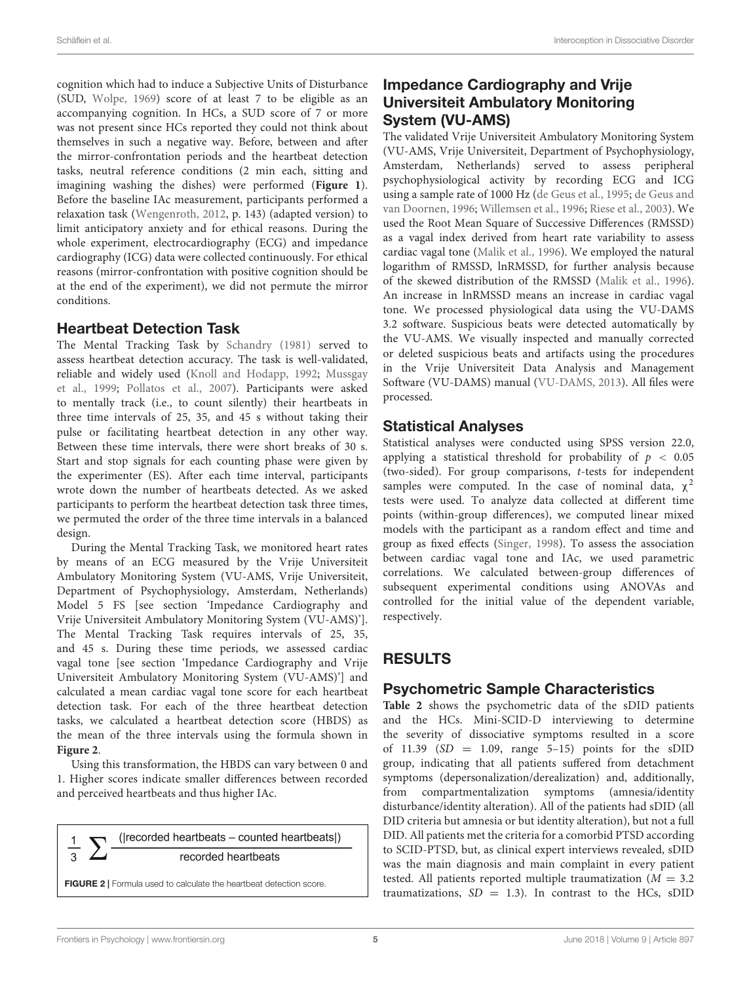cognition which had to induce a Subjective Units of Disturbance (SUD, [Wolpe,](#page-11-14) [1969\)](#page-11-14) score of at least 7 to be eligible as an accompanying cognition. In HCs, a SUD score of 7 or more was not present since HCs reported they could not think about themselves in such a negative way. Before, between and after the mirror-confrontation periods and the heartbeat detection tasks, neutral reference conditions (2 min each, sitting and imagining washing the dishes) were performed (**[Figure 1](#page-3-1)**). Before the baseline IAc measurement, participants performed a relaxation task [\(Wengenroth,](#page-11-16) [2012,](#page-11-16) p. 143) (adapted version) to limit anticipatory anxiety and for ethical reasons. During the whole experiment, electrocardiography (ECG) and impedance cardiography (ICG) data were collected continuously. For ethical reasons (mirror-confrontation with positive cognition should be at the end of the experiment), we did not permute the mirror conditions.

### Heartbeat Detection Task

The Mental Tracking Task by [Schandry](#page-11-9) [\(1981\)](#page-11-9) served to assess heartbeat detection accuracy. The task is well-validated, reliable and widely used [\(Knoll and Hodapp,](#page-10-29) [1992;](#page-10-29) [Mussgay](#page-10-10) [et al.,](#page-10-10) [1999;](#page-10-10) [Pollatos et al.,](#page-10-30) [2007\)](#page-10-30). Participants were asked to mentally track (i.e., to count silently) their heartbeats in three time intervals of 25, 35, and 45 s without taking their pulse or facilitating heartbeat detection in any other way. Between these time intervals, there were short breaks of 30 s. Start and stop signals for each counting phase were given by the experimenter (ES). After each time interval, participants wrote down the number of heartbeats detected. As we asked participants to perform the heartbeat detection task three times, we permuted the order of the three time intervals in a balanced design.

During the Mental Tracking Task, we monitored heart rates by means of an ECG measured by the Vrije Universiteit Ambulatory Monitoring System (VU-AMS, Vrije Universiteit, Department of Psychophysiology, Amsterdam, Netherlands) Model 5 FS [see section 'Impedance Cardiography and Vrije Universiteit Ambulatory Monitoring System (VU-AMS)']. The Mental Tracking Task requires intervals of 25, 35, and 45 s. During these time periods, we assessed cardiac vagal tone [see section 'Impedance Cardiography and Vrije Universiteit Ambulatory Monitoring System (VU-AMS)'] and calculated a mean cardiac vagal tone score for each heartbeat detection task. For each of the three heartbeat detection tasks, we calculated a heartbeat detection score (HBDS) as the mean of the three intervals using the formula shown in **[Figure 2](#page-4-0)**.

Using this transformation, the HBDS can vary between 0 and 1. Higher scores indicate smaller differences between recorded and perceived heartbeats and thus higher IAc.

((recorded heartbeats – counted heartbeats)) recorded heartbeats

<span id="page-4-0"></span>FIGURE 2 | Formula used to calculate the heartbeat detection score.

# Impedance Cardiography and Vrije Universiteit Ambulatory Monitoring System (VU-AMS)

The validated Vrije Universiteit Ambulatory Monitoring System (VU-AMS, Vrije Universiteit, Department of Psychophysiology, Amsterdam, Netherlands) served to assess peripheral psychophysiological activity by recording ECG and ICG using a sample rate of 1000 Hz [\(de Geus et al.,](#page-9-15) [1995;](#page-9-15) [de Geus and](#page-9-16) [van Doornen,](#page-9-16) [1996;](#page-9-16) [Willemsen et al.,](#page-11-17) [1996;](#page-11-17) [Riese et al.,](#page-10-31) [2003\)](#page-10-31). We used the Root Mean Square of Successive Differences (RMSSD) as a vagal index derived from heart rate variability to assess cardiac vagal tone [\(Malik et al.,](#page-10-32) [1996\)](#page-10-32). We employed the natural logarithm of RMSSD, lnRMSSD, for further analysis because of the skewed distribution of the RMSSD [\(Malik et al.,](#page-10-32) [1996\)](#page-10-32). An increase in lnRMSSD means an increase in cardiac vagal tone. We processed physiological data using the VU-DAMS 3.2 software. Suspicious beats were detected automatically by the VU-AMS. We visually inspected and manually corrected or deleted suspicious beats and artifacts using the procedures in the Vrije Universiteit Data Analysis and Management Software (VU-DAMS) manual [\(VU-DAMS,](#page-11-18) [2013\)](#page-11-18). All files were processed.

# Statistical Analyses

Statistical analyses were conducted using SPSS version 22.0, applying a statistical threshold for probability of  $p < 0.05$ (two-sided). For group comparisons, t-tests for independent samples were computed. In the case of nominal data,  $\chi^2$ tests were used. To analyze data collected at different time points (within-group differences), we computed linear mixed models with the participant as a random effect and time and group as fixed effects [\(Singer,](#page-11-19) [1998\)](#page-11-19). To assess the association between cardiac vagal tone and IAc, we used parametric correlations. We calculated between-group differences of subsequent experimental conditions using ANOVAs and controlled for the initial value of the dependent variable, respectively.

# RESULTS

# Psychometric Sample Characteristics

**[Table 2](#page-5-0)** shows the psychometric data of the sDID patients and the HCs. Mini-SCID-D interviewing to determine the severity of dissociative symptoms resulted in a score of 11.39 ( $SD = 1.09$ , range 5-15) points for the sDID group, indicating that all patients suffered from detachment symptoms (depersonalization/derealization) and, additionally, from compartmentalization symptoms (amnesia/identity disturbance/identity alteration). All of the patients had sDID (all DID criteria but amnesia or but identity alteration), but not a full DID. All patients met the criteria for a comorbid PTSD according to SCID-PTSD, but, as clinical expert interviews revealed, sDID was the main diagnosis and main complaint in every patient tested. All patients reported multiple traumatization  $(M = 3.2)$ traumatizations,  $SD = 1.3$ ). In contrast to the HCs, sDID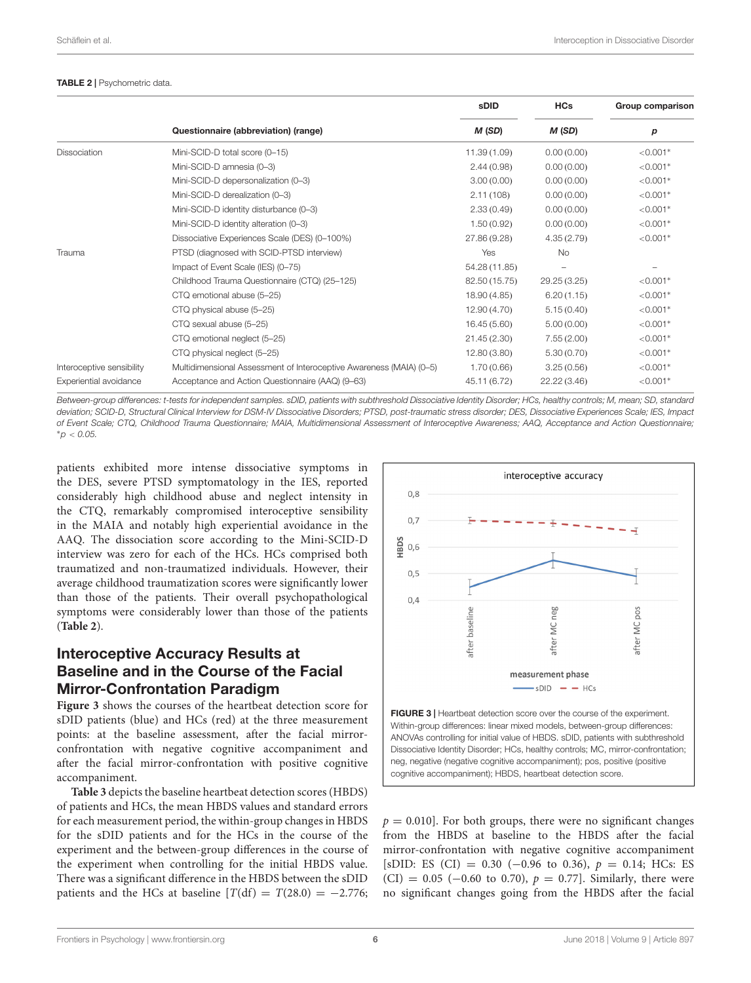#### <span id="page-5-0"></span>TABLE 2 | Psychometric data.

|                           |                                                                     | <b>sDID</b>   | <b>HCs</b>               | Group comparison |
|---------------------------|---------------------------------------------------------------------|---------------|--------------------------|------------------|
|                           | Questionnaire (abbreviation) (range)                                | M(SD)         | M(SD)                    | р                |
| <b>Dissociation</b>       | Mini-SCID-D total score (0-15)                                      | 11.39(1.09)   | 0.00(0.00)               | $< 0.001*$       |
|                           | Mini-SCID-D amnesia (0-3)                                           | 2.44(0.98)    | 0.00(0.00)               | $< 0.001*$       |
|                           | Mini-SCID-D depersonalization (0-3)                                 | 3.00(0.00)    | 0.00(0.00)               | $< 0.001*$       |
|                           | Mini-SCID-D derealization (0-3)                                     | 2.11(108)     | 0.00(0.00)               | $< 0.001*$       |
|                           | Mini-SCID-D identity disturbance (0-3)                              | 2.33(0.49)    | 0.00(0.00)               | $< 0.001*$       |
|                           | Mini-SCID-D identity alteration (0-3)                               | 1.50(0.92)    | 0.00(0.00)               | $< 0.001*$       |
|                           | Dissociative Experiences Scale (DES) (0-100%)                       | 27.86 (9.28)  | 4.35(2.79)               | $< 0.001*$       |
| Trauma                    | PTSD (diagnosed with SCID-PTSD interview)                           | Yes           | <b>No</b>                |                  |
|                           | Impact of Event Scale (IES) (0-75)                                  | 54.28 (11.85) | $\overline{\phantom{m}}$ |                  |
|                           | Childhood Trauma Questionnaire (CTQ) (25-125)                       | 82.50 (15.75) | 29.25 (3.25)             | $< 0.001*$       |
|                           | CTQ emotional abuse (5-25)                                          | 18.90(4.85)   | 6.20(1.15)               | $< 0.001*$       |
|                           | CTQ physical abuse (5-25)                                           | 12.90(4.70)   | 5.15(0.40)               | $< 0.001*$       |
|                           | CTQ sexual abuse (5-25)                                             | 16.45(5.60)   | 5.00(0.00)               | $< 0.001*$       |
|                           | CTQ emotional neglect (5-25)                                        | 21.45(2.30)   | 7.55(2.00)               | $< 0.001*$       |
|                           | CTQ physical neglect (5-25)                                         | 12.80(3.80)   | 5.30(0.70)               | $< 0.001*$       |
| Interoceptive sensibility | Multidimensional Assessment of Interoceptive Awareness (MAIA) (0-5) | 1.70(0.66)    | 3.25(0.56)               | $< 0.001*$       |
| Experiential avoidance    | Acceptance and Action Questionnaire (AAQ) (9–63)                    | 45.11 (6.72)  | 22.22(3.46)              | $< 0.001*$       |

Between-group differences: t-tests for independent samples. sDID, patients with subthreshold Dissociative Identity Disorder; HCs, healthy controls; M, mean; SD, standard deviation; SCID-D, Structural Clinical Interview for DSM-IV Dissociative Disorders; PTSD, post-traumatic stress disorder; DES, Dissociative Experiences Scale; IES, Impact of Event Scale; CTQ, Childhood Trauma Questionnaire; MAIA, Multidimensional Assessment of Interoceptive Awareness; AAQ, Acceptance and Action Questionnaire; <sup>∗</sup>p < 0.05.

patients exhibited more intense dissociative symptoms in the DES, severe PTSD symptomatology in the IES, reported considerably high childhood abuse and neglect intensity in the CTQ, remarkably compromised interoceptive sensibility in the MAIA and notably high experiential avoidance in the AAQ. The dissociation score according to the Mini-SCID-D interview was zero for each of the HCs. HCs comprised both traumatized and non-traumatized individuals. However, their average childhood traumatization scores were significantly lower than those of the patients. Their overall psychopathological symptoms were considerably lower than those of the patients (**[Table 2](#page-5-0)**).

# Interoceptive Accuracy Results at Baseline and in the Course of the Facial Mirror-Confrontation Paradigm

**[Figure 3](#page-5-1)** shows the courses of the heartbeat detection score for sDID patients (blue) and HCs (red) at the three measurement points: at the baseline assessment, after the facial mirrorconfrontation with negative cognitive accompaniment and after the facial mirror-confrontation with positive cognitive accompaniment.

**[Table 3](#page-6-0)** depicts the baseline heartbeat detection scores (HBDS) of patients and HCs, the mean HBDS values and standard errors for each measurement period, the within-group changes in HBDS for the sDID patients and for the HCs in the course of the experiment and the between-group differences in the course of the experiment when controlling for the initial HBDS value. There was a significant difference in the HBDS between the sDID patients and the HCs at baseline  $[T(df) = T(28.0) = -2.776$ ;



<span id="page-5-1"></span>Within-group differences: linear mixed models, between-group differences: ANOVAs controlling for initial value of HBDS. sDID, patients with subthreshold Dissociative Identity Disorder; HCs, healthy controls; MC, mirror-confrontation; neg, negative (negative cognitive accompaniment); pos, positive (positive cognitive accompaniment); HBDS, heartbeat detection score.

 $p = 0.010$ . For both groups, there were no significant changes from the HBDS at baseline to the HBDS after the facial mirror-confrontation with negative cognitive accompaniment [sDID: ES (CI) = 0.30 (-0.96 to 0.36),  $p = 0.14$ ; HCs: ES (CI) = 0.05 (-0.60 to 0.70),  $p = 0.77$ ]. Similarly, there were no significant changes going from the HBDS after the facial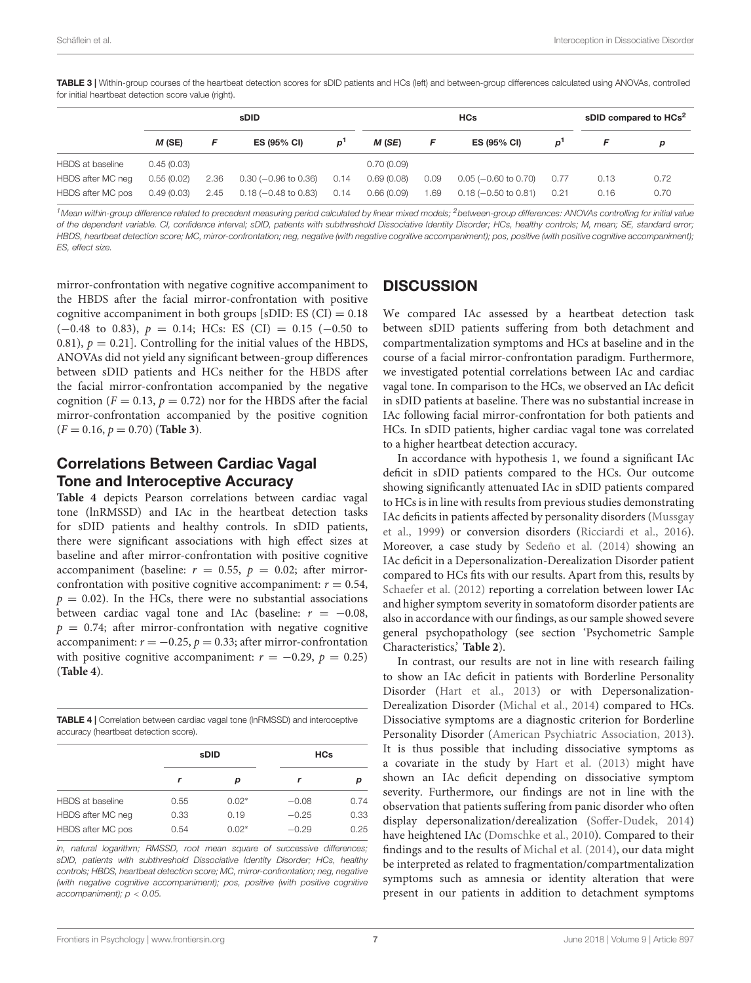<span id="page-6-0"></span>TABLE 3 | Within-group courses of the heartbeat detection scores for sDID patients and HCs (left) and between-group differences calculated using ANOVAs, controlled for initial heartbeat detection score value (right).

|                   | sDID       |      |                              | <b>HCs</b>     |            |      | sDID compared to HCs <sup>2</sup> |       |      |      |
|-------------------|------------|------|------------------------------|----------------|------------|------|-----------------------------------|-------|------|------|
|                   | $M$ (SE)   | F    | <b>ES (95% CI)</b>           | $\mathbf{p}^1$ | M (SE)     |      | ES (95% CI)                       | $D^1$ |      | р    |
| HBDS at baseline  | 0.45(0.03) |      |                              |                | 0.70(0.09) |      |                                   |       |      |      |
| HBDS after MC neg | 0.55(0.02) | 2.36 | $0.30$ ( $-0.96$ to $0.36$ ) | 0.14           | 0.69(0.08) | 0.09 | $0.05$ ( $-0.60$ to $0.70$ )      | 0.77  | 0.13 | 0.72 |
| HBDS after MC pos | 0.49(0.03) | 2.45 | $0.18 (-0.48 to 0.83)$       | 0.14           | 0.66(0.09) | 1.69 | $0.18(-0.50 \text{ to } 0.81)$    | 0.21  | 0.16 | 0.70 |

<sup>1</sup> Mean within-group difference related to precedent measuring period calculated by linear mixed models; <sup>2</sup> between-group differences: ANOVAs controlling for initial value of the dependent variable. CI, confidence interval; sDID, patients with subthreshold Dissociative Identity Disorder; HCs, healthy controls; M, mean; SE, standard error; HBDS, heartbeat detection score; MC, mirror-confrontation; neg, negative (with negative cognitive accompaniment); pos, positive (with positive accompaniment); ES, effect size.

mirror-confrontation with negative cognitive accompaniment to the HBDS after the facial mirror-confrontation with positive cognitive accompaniment in both groups  $[sDID: ES (CI) = 0.18]$  $(-0.48 \text{ to } 0.83), p = 0.14; \text{ HCs: ES (CI)} = 0.15 (-0.50 \text{ to }$ 0.81),  $p = 0.21$ . Controlling for the initial values of the HBDS, ANOVAs did not yield any significant between-group differences between sDID patients and HCs neither for the HBDS after the facial mirror-confrontation accompanied by the negative cognition ( $F = 0.13$ ,  $p = 0.72$ ) nor for the HBDS after the facial mirror-confrontation accompanied by the positive cognition  $(F = 0.16, p = 0.70)$  ([Table 3](#page-6-0)).

# Correlations Between Cardiac Vagal Tone and Interoceptive Accuracy

**[Table 4](#page-6-1)** depicts Pearson correlations between cardiac vagal tone (lnRMSSD) and IAc in the heartbeat detection tasks for sDID patients and healthy controls. In sDID patients, there were significant associations with high effect sizes at baseline and after mirror-confrontation with positive cognitive accompaniment (baseline:  $r = 0.55$ ,  $p = 0.02$ ; after mirrorconfrontation with positive cognitive accompaniment:  $r = 0.54$ ,  $p = 0.02$ ). In the HCs, there were no substantial associations between cardiac vagal tone and IAc (baseline:  $r = -0.08$ ,  $p = 0.74$ ; after mirror-confrontation with negative cognitive accompaniment:  $r = -0.25$ ,  $p = 0.33$ ; after mirror-confrontation with positive cognitive accompaniment:  $r = -0.29$ ,  $p = 0.25$ ) (**[Table 4](#page-6-1)**).

<span id="page-6-1"></span>TABLE 4 | Correlation between cardiac vagal tone (lnRMSSD) and interoceptive accuracy (heartbeat detection score).

|      |         | <b>HCs</b>  |      |  |
|------|---------|-------------|------|--|
| r    | р       |             | р    |  |
| 0.55 | $0.02*$ | $-0.08$     | 0.74 |  |
| 0.33 | 0.19    | $-0.25$     | 0.33 |  |
| 0.54 | $0.02*$ | $-0.29$     | 0.25 |  |
|      |         | <b>sDID</b> |      |  |

ln, natural logarithm; RMSSD, root mean square of successive differences; sDID, patients with subthreshold Dissociative Identity Disorder; HCs, healthy controls; HBDS, heartbeat detection score; MC, mirror-confrontation; neg, negative (with negative cognitive accompaniment); pos, positive (with positive cognitive accompaniment);  $p < 0.05$ .

# **DISCUSSION**

We compared IAc assessed by a heartbeat detection task between sDID patients suffering from both detachment and compartmentalization symptoms and HCs at baseline and in the course of a facial mirror-confrontation paradigm. Furthermore, we investigated potential correlations between IAc and cardiac vagal tone. In comparison to the HCs, we observed an IAc deficit in sDID patients at baseline. There was no substantial increase in IAc following facial mirror-confrontation for both patients and HCs. In sDID patients, higher cardiac vagal tone was correlated to a higher heartbeat detection accuracy.

In accordance with hypothesis 1, we found a significant IAc deficit in sDID patients compared to the HCs. Our outcome showing significantly attenuated IAc in sDID patients compared to HCs is in line with results from previous studies demonstrating IAc deficits in patients affected by personality disorders [\(Mussgay](#page-10-10) [et al.,](#page-10-10) [1999\)](#page-10-10) or conversion disorders [\(Ricciardi et al.,](#page-10-11) [2016\)](#page-10-11). Moreover, a case study by [Sedeño et al.](#page-11-20) [\(2014\)](#page-11-20) showing an IAc deficit in a Depersonalization-Derealization Disorder patient compared to HCs fits with our results. Apart from this, results by [Schaefer et al.](#page-11-21) [\(2012\)](#page-11-21) reporting a correlation between lower IAc and higher symptom severity in somatoform disorder patients are also in accordance with our findings, as our sample showed severe general psychopathology (see section 'Psychometric Sample Characteristics,' **[Table 2](#page-5-0)**).

In contrast, our results are not in line with research failing to show an IAc deficit in patients with Borderline Personality Disorder [\(Hart et al.,](#page-10-15) [2013\)](#page-10-15) or with Depersonalization-Derealization Disorder [\(Michal et al.,](#page-10-14) [2014\)](#page-10-14) compared to HCs. Dissociative symptoms are a diagnostic criterion for Borderline Personality Disorder [\(American Psychiatric Association,](#page-9-1) [2013\)](#page-9-1). It is thus possible that including dissociative symptoms as a covariate in the study by [Hart et al.](#page-10-15) [\(2013\)](#page-10-15) might have shown an IAc deficit depending on dissociative symptom severity. Furthermore, our findings are not in line with the observation that patients suffering from panic disorder who often display depersonalization/derealization [\(Soffer-Dudek,](#page-11-3) [2014\)](#page-11-3) have heightened IAc [\(Domschke et al.,](#page-9-7) [2010\)](#page-9-7). Compared to their findings and to the results of [Michal et al.](#page-10-14) [\(2014\)](#page-10-14), our data might be interpreted as related to fragmentation/compartmentalization symptoms such as amnesia or identity alteration that were present in our patients in addition to detachment symptoms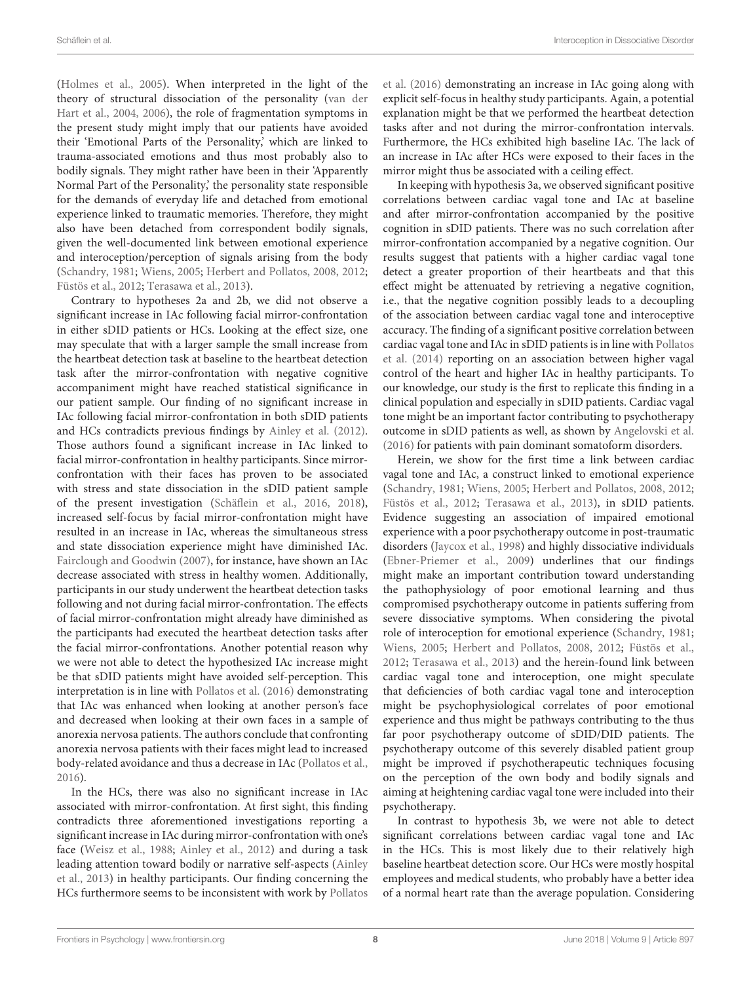[\(Holmes et al.,](#page-10-0) [2005\)](#page-10-0). When interpreted in the light of the theory of structural dissociation of the personality [\(van der](#page-11-1) [Hart et al.,](#page-11-1) [2004,](#page-11-1) [2006\)](#page-11-2), the role of fragmentation symptoms in the present study might imply that our patients have avoided their 'Emotional Parts of the Personality,' which are linked to trauma-associated emotions and thus most probably also to bodily signals. They might rather have been in their 'Apparently Normal Part of the Personality,' the personality state responsible for the demands of everyday life and detached from emotional experience linked to traumatic memories. Therefore, they might also have been detached from correspondent bodily signals, given the well-documented link between emotional experience and interoception/perception of signals arising from the body [\(Schandry,](#page-11-9) [1981;](#page-11-9) [Wiens,](#page-11-10) [2005;](#page-11-10) [Herbert and Pollatos,](#page-10-7) [2008,](#page-10-7) [2012;](#page-10-24) [Füstös et al.,](#page-10-25) [2012;](#page-10-25) [Terasawa et al.,](#page-11-11) [2013\)](#page-11-11).

Contrary to hypotheses 2a and 2b, we did not observe a significant increase in IAc following facial mirror-confrontation in either sDID patients or HCs. Looking at the effect size, one may speculate that with a larger sample the small increase from the heartbeat detection task at baseline to the heartbeat detection task after the mirror-confrontation with negative cognitive accompaniment might have reached statistical significance in our patient sample. Our finding of no significant increase in IAc following facial mirror-confrontation in both sDID patients and HCs contradicts previous findings by [Ainley et al.](#page-9-8) [\(2012\)](#page-9-8). Those authors found a significant increase in IAc linked to facial mirror-confrontation in healthy participants. Since mirrorconfrontation with their faces has proven to be associated with stress and state dissociation in the sDID patient sample of the present investigation [\(Schäflein et al.,](#page-11-6) [2016,](#page-11-6) [2018\)](#page-11-7), increased self-focus by facial mirror-confrontation might have resulted in an increase in IAc, whereas the simultaneous stress and state dissociation experience might have diminished IAc. [Fairclough and Goodwin](#page-9-17) [\(2007\)](#page-9-17), for instance, have shown an IAc decrease associated with stress in healthy women. Additionally, participants in our study underwent the heartbeat detection tasks following and not during facial mirror-confrontation. The effects of facial mirror-confrontation might already have diminished as the participants had executed the heartbeat detection tasks after the facial mirror-confrontations. Another potential reason why we were not able to detect the hypothesized IAc increase might be that sDID patients might have avoided self-perception. This interpretation is in line with [Pollatos et al.](#page-10-18) [\(2016\)](#page-10-18) demonstrating that IAc was enhanced when looking at another person's face and decreased when looking at their own faces in a sample of anorexia nervosa patients. The authors conclude that confronting anorexia nervosa patients with their faces might lead to increased body-related avoidance and thus a decrease in IAc [\(Pollatos et al.,](#page-10-18) [2016\)](#page-10-18).

In the HCs, there was also no significant increase in IAc associated with mirror-confrontation. At first sight, this finding contradicts three aforementioned investigations reporting a significant increase in IAc during mirror-confrontation with one's face [\(Weisz et al.,](#page-11-5) [1988;](#page-11-5) [Ainley et al.,](#page-9-8) [2012\)](#page-9-8) and during a task leading attention toward bodily or narrative self-aspects [\(Ainley](#page-9-9) [et al.,](#page-9-9) [2013\)](#page-9-9) in healthy participants. Our finding concerning the HCs furthermore seems to be inconsistent with work by [Pollatos](#page-10-18)

[et al.](#page-10-18) [\(2016\)](#page-10-18) demonstrating an increase in IAc going along with explicit self-focus in healthy study participants. Again, a potential explanation might be that we performed the heartbeat detection tasks after and not during the mirror-confrontation intervals. Furthermore, the HCs exhibited high baseline IAc. The lack of an increase in IAc after HCs were exposed to their faces in the mirror might thus be associated with a ceiling effect.

In keeping with hypothesis 3a, we observed significant positive correlations between cardiac vagal tone and IAc at baseline and after mirror-confrontation accompanied by the positive cognition in sDID patients. There was no such correlation after mirror-confrontation accompanied by a negative cognition. Our results suggest that patients with a higher cardiac vagal tone detect a greater proportion of their heartbeats and that this effect might be attenuated by retrieving a negative cognition, i.e., that the negative cognition possibly leads to a decoupling of the association between cardiac vagal tone and interoceptive accuracy. The finding of a significant positive correlation between cardiac vagal tone and IAc in sDID patients is in line with [Pollatos](#page-10-19) [et al.](#page-10-19) [\(2014\)](#page-10-19) reporting on an association between higher vagal control of the heart and higher IAc in healthy participants. To our knowledge, our study is the first to replicate this finding in a clinical population and especially in sDID patients. Cardiac vagal tone might be an important factor contributing to psychotherapy outcome in sDID patients as well, as shown by [Angelovski et al.](#page-9-10) [\(2016\)](#page-9-10) for patients with pain dominant somatoform disorders.

Herein, we show for the first time a link between cardiac vagal tone and IAc, a construct linked to emotional experience [\(Schandry,](#page-11-9) [1981;](#page-11-9) [Wiens,](#page-11-10) [2005;](#page-11-10) [Herbert and Pollatos,](#page-10-7) [2008,](#page-10-7) [2012;](#page-10-24) [Füstös et al.,](#page-10-25) [2012;](#page-10-25) [Terasawa et al.,](#page-11-11) [2013\)](#page-11-11), in sDID patients. Evidence suggesting an association of impaired emotional experience with a poor psychotherapy outcome in post-traumatic disorders [\(Jaycox et al.,](#page-10-26) [1998\)](#page-10-26) and highly dissociative individuals [\(Ebner-Priemer et al.,](#page-9-11) [2009\)](#page-9-11) underlines that our findings might make an important contribution toward understanding the pathophysiology of poor emotional learning and thus compromised psychotherapy outcome in patients suffering from severe dissociative symptoms. When considering the pivotal role of interoception for emotional experience [\(Schandry,](#page-11-9) [1981;](#page-11-9) [Wiens,](#page-11-10) [2005;](#page-11-10) [Herbert and Pollatos,](#page-10-7) [2008,](#page-10-7) [2012;](#page-10-24) [Füstös et al.,](#page-10-25) [2012;](#page-10-25) [Terasawa et al.,](#page-11-11) [2013\)](#page-11-11) and the herein-found link between cardiac vagal tone and interoception, one might speculate that deficiencies of both cardiac vagal tone and interoception might be psychophysiological correlates of poor emotional experience and thus might be pathways contributing to the thus far poor psychotherapy outcome of sDID/DID patients. The psychotherapy outcome of this severely disabled patient group might be improved if psychotherapeutic techniques focusing on the perception of the own body and bodily signals and aiming at heightening cardiac vagal tone were included into their psychotherapy.

In contrast to hypothesis 3b, we were not able to detect significant correlations between cardiac vagal tone and IAc in the HCs. This is most likely due to their relatively high baseline heartbeat detection score. Our HCs were mostly hospital employees and medical students, who probably have a better idea of a normal heart rate than the average population. Considering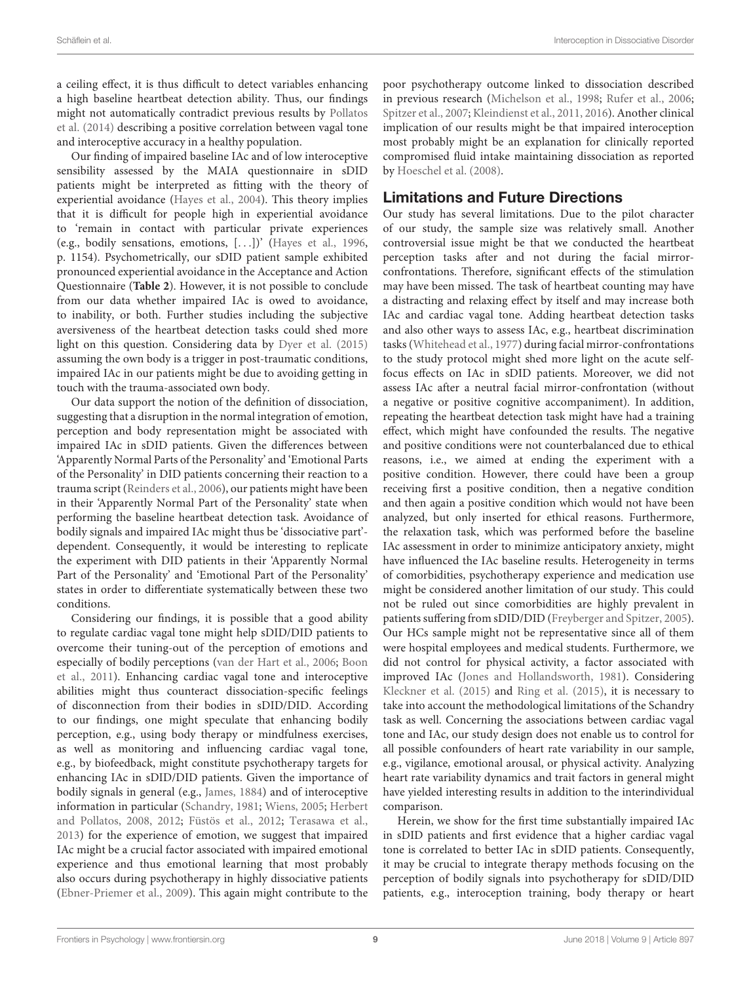a ceiling effect, it is thus difficult to detect variables enhancing a high baseline heartbeat detection ability. Thus, our findings might not automatically contradict previous results by [Pollatos](#page-10-19) [et al.](#page-10-19) [\(2014\)](#page-10-19) describing a positive correlation between vagal tone and interoceptive accuracy in a healthy population.

Our finding of impaired baseline IAc and of low interoceptive sensibility assessed by the MAIA questionnaire in sDID patients might be interpreted as fitting with the theory of experiential avoidance [\(Hayes et al.,](#page-10-5) [2004\)](#page-10-5). This theory implies that it is difficult for people high in experiential avoidance to 'remain in contact with particular private experiences (e.g., bodily sensations, emotions, [. . .])' [\(Hayes et al.,](#page-10-6) [1996,](#page-10-6) p. 1154). Psychometrically, our sDID patient sample exhibited pronounced experiential avoidance in the Acceptance and Action Questionnaire (**[Table 2](#page-5-0)**). However, it is not possible to conclude from our data whether impaired IAc is owed to avoidance, to inability, or both. Further studies including the subjective aversiveness of the heartbeat detection tasks could shed more light on this question. Considering data by [Dyer et al.](#page-9-5) [\(2015\)](#page-9-5) assuming the own body is a trigger in post-traumatic conditions, impaired IAc in our patients might be due to avoiding getting in touch with the trauma-associated own body.

Our data support the notion of the definition of dissociation, suggesting that a disruption in the normal integration of emotion, perception and body representation might be associated with impaired IAc in sDID patients. Given the differences between 'Apparently Normal Parts of the Personality' and 'Emotional Parts of the Personality' in DID patients concerning their reaction to a trauma script [\(Reinders et al.,](#page-10-2) [2006\)](#page-10-2), our patients might have been in their 'Apparently Normal Part of the Personality' state when performing the baseline heartbeat detection task. Avoidance of bodily signals and impaired IAc might thus be 'dissociative part' dependent. Consequently, it would be interesting to replicate the experiment with DID patients in their 'Apparently Normal Part of the Personality' and 'Emotional Part of the Personality' states in order to differentiate systematically between these two conditions.

Considering our findings, it is possible that a good ability to regulate cardiac vagal tone might help sDID/DID patients to overcome their tuning-out of the perception of emotions and especially of bodily perceptions [\(van der Hart et al.,](#page-11-2) [2006;](#page-11-2) [Boon](#page-9-4) [et al.,](#page-9-4) [2011\)](#page-9-4). Enhancing cardiac vagal tone and interoceptive abilities might thus counteract dissociation-specific feelings of disconnection from their bodies in sDID/DID. According to our findings, one might speculate that enhancing bodily perception, e.g., using body therapy or mindfulness exercises, as well as monitoring and influencing cardiac vagal tone, e.g., by biofeedback, might constitute psychotherapy targets for enhancing IAc in sDID/DID patients. Given the importance of bodily signals in general (e.g., [James,](#page-10-16) [1884\)](#page-10-16) and of interoceptive information in particular [\(Schandry,](#page-11-9) [1981;](#page-11-9) [Wiens,](#page-11-10) [2005;](#page-11-10) [Herbert](#page-10-7) [and Pollatos,](#page-10-7) [2008,](#page-10-7) [2012;](#page-10-24) [Füstös et al.,](#page-10-25) [2012;](#page-10-25) [Terasawa et al.,](#page-11-11) [2013\)](#page-11-11) for the experience of emotion, we suggest that impaired IAc might be a crucial factor associated with impaired emotional experience and thus emotional learning that most probably also occurs during psychotherapy in highly dissociative patients [\(Ebner-Priemer et al.,](#page-9-11) [2009\)](#page-9-11). This again might contribute to the

poor psychotherapy outcome linked to dissociation described in previous research [\(Michelson et al.,](#page-10-20) [1998;](#page-10-20) [Rufer et al.,](#page-10-21) [2006;](#page-10-21) [Spitzer et al.,](#page-11-8) [2007;](#page-11-8) [Kleindienst et al.,](#page-10-22) [2011,](#page-10-22) [2016\)](#page-10-33). Another clinical implication of our results might be that impaired interoception most probably might be an explanation for clinically reported compromised fluid intake maintaining dissociation as reported by [Hoeschel et al.](#page-10-9) [\(2008\)](#page-10-9).

# Limitations and Future Directions

Our study has several limitations. Due to the pilot character of our study, the sample size was relatively small. Another controversial issue might be that we conducted the heartbeat perception tasks after and not during the facial mirrorconfrontations. Therefore, significant effects of the stimulation may have been missed. The task of heartbeat counting may have a distracting and relaxing effect by itself and may increase both IAc and cardiac vagal tone. Adding heartbeat detection tasks and also other ways to assess IAc, e.g., heartbeat discrimination tasks [\(Whitehead et al.,](#page-11-22) [1977\)](#page-11-22) during facial mirror-confrontations to the study protocol might shed more light on the acute selffocus effects on IAc in sDID patients. Moreover, we did not assess IAc after a neutral facial mirror-confrontation (without a negative or positive cognitive accompaniment). In addition, repeating the heartbeat detection task might have had a training effect, which might have confounded the results. The negative and positive conditions were not counterbalanced due to ethical reasons, i.e., we aimed at ending the experiment with a positive condition. However, there could have been a group receiving first a positive condition, then a negative condition and then again a positive condition which would not have been analyzed, but only inserted for ethical reasons. Furthermore, the relaxation task, which was performed before the baseline IAc assessment in order to minimize anticipatory anxiety, might have influenced the IAc baseline results. Heterogeneity in terms of comorbidities, psychotherapy experience and medication use might be considered another limitation of our study. This could not be ruled out since comorbidities are highly prevalent in patients suffering from sDID/DID [\(Freyberger and Spitzer,](#page-10-34) [2005\)](#page-10-34). Our HCs sample might not be representative since all of them were hospital employees and medical students. Furthermore, we did not control for physical activity, a factor associated with improved IAc [\(Jones and Hollandsworth,](#page-10-35) [1981\)](#page-10-35). Considering [Kleckner et al.](#page-10-36) [\(2015\)](#page-10-36) and [Ring et al.](#page-10-37) [\(2015\)](#page-10-37), it is necessary to take into account the methodological limitations of the Schandry task as well. Concerning the associations between cardiac vagal tone and IAc, our study design does not enable us to control for all possible confounders of heart rate variability in our sample, e.g., vigilance, emotional arousal, or physical activity. Analyzing heart rate variability dynamics and trait factors in general might have yielded interesting results in addition to the interindividual comparison.

Herein, we show for the first time substantially impaired IAc in sDID patients and first evidence that a higher cardiac vagal tone is correlated to better IAc in sDID patients. Consequently, it may be crucial to integrate therapy methods focusing on the perception of bodily signals into psychotherapy for sDID/DID patients, e.g., interoception training, body therapy or heart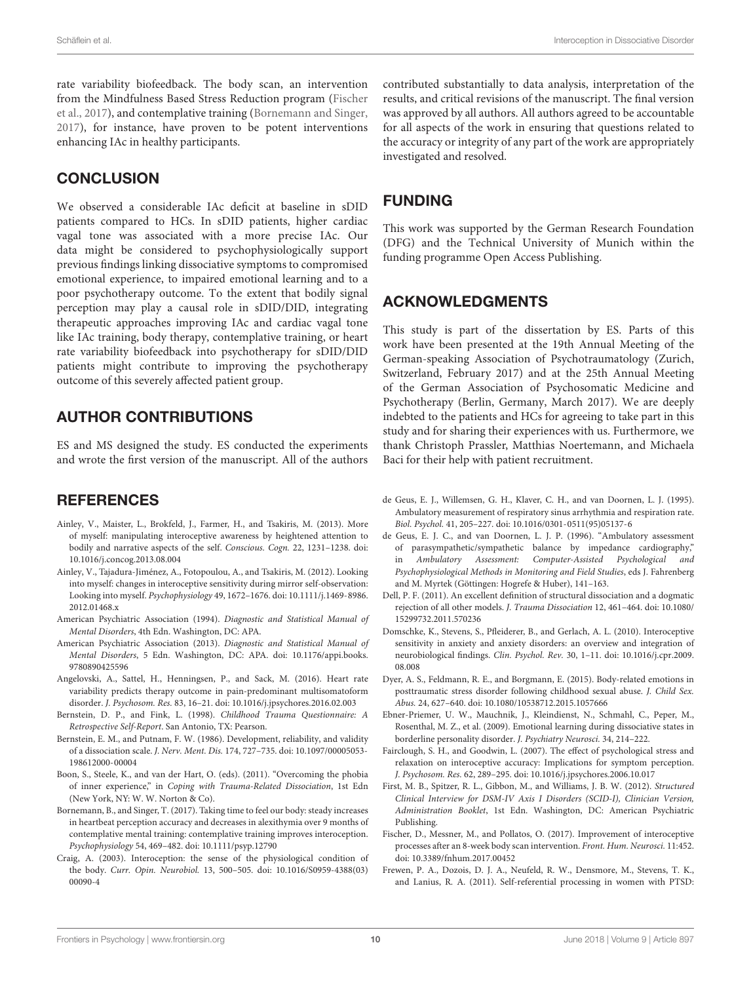rate variability biofeedback. The body scan, an intervention from the Mindfulness Based Stress Reduction program [\(Fischer](#page-9-18) [et al.,](#page-9-18) [2017\)](#page-9-18), and contemplative training [\(Bornemann and Singer,](#page-9-19) [2017\)](#page-9-19), for instance, have proven to be potent interventions enhancing IAc in healthy participants.

# **CONCLUSION**

We observed a considerable IAc deficit at baseline in sDID patients compared to HCs. In sDID patients, higher cardiac vagal tone was associated with a more precise IAc. Our data might be considered to psychophysiologically support previous findings linking dissociative symptoms to compromised emotional experience, to impaired emotional learning and to a poor psychotherapy outcome. To the extent that bodily signal perception may play a causal role in sDID/DID, integrating therapeutic approaches improving IAc and cardiac vagal tone like IAc training, body therapy, contemplative training, or heart rate variability biofeedback into psychotherapy for sDID/DID patients might contribute to improving the psychotherapy outcome of this severely affected patient group.

### AUTHOR CONTRIBUTIONS

ES and MS designed the study. ES conducted the experiments and wrote the first version of the manuscript. All of the authors

### **REFERENCES**

- <span id="page-9-9"></span>Ainley, V., Maister, L., Brokfeld, J., Farmer, H., and Tsakiris, M. (2013). More of myself: manipulating interoceptive awareness by heightened attention to bodily and narrative aspects of the self. Conscious. Cogn. 22, 1231–1238. [doi:](https://doi.org/10.1016/j.concog.2013.08.004) [10.1016/j.concog.2013.08.004](https://doi.org/10.1016/j.concog.2013.08.004)
- <span id="page-9-8"></span>Ainley, V., Tajadura-Jiménez, A., Fotopoulou, A., and Tsakiris, M. (2012). Looking into myself: changes in interoceptive sensitivity during mirror self-observation: Looking into myself. Psychophysiology 49, 1672–1676. [doi: 10.1111/j.1469-8986.](https://doi.org/10.1111/j.1469-8986.2012.01468.x) [2012.01468.x](https://doi.org/10.1111/j.1469-8986.2012.01468.x)
- <span id="page-9-2"></span>American Psychiatric Association (1994). Diagnostic and Statistical Manual of Mental Disorders, 4th Edn. Washington, DC: APA.
- <span id="page-9-1"></span>American Psychiatric Association (2013). Diagnostic and Statistical Manual of Mental Disorders, 5 Edn. Washington, DC: APA. [doi: 10.1176/appi.books.](https://doi.org/10.1176/appi.books.9780890425596) [9780890425596](https://doi.org/10.1176/appi.books.9780890425596)
- <span id="page-9-10"></span>Angelovski, A., Sattel, H., Henningsen, P., and Sack, M. (2016). Heart rate variability predicts therapy outcome in pain-predominant multisomatoform disorder. J. Psychosom. Res. 83, 16–21. [doi: 10.1016/j.jpsychores.2016.02.003](https://doi.org/10.1016/j.jpsychores.2016.02.003)
- <span id="page-9-14"></span>Bernstein, D. P., and Fink, L. (1998). Childhood Trauma Questionnaire: A Retrospective Self-Report. San Antonio, TX: Pearson.
- <span id="page-9-13"></span>Bernstein, E. M., and Putnam, F. W. (1986). Development, reliability, and validity of a dissociation scale. J. Nerv. Ment. Dis. 174, 727–735. [doi: 10.1097/00005053-](https://doi.org/10.1097/00005053-198612000-00004) [198612000-00004](https://doi.org/10.1097/00005053-198612000-00004)
- <span id="page-9-4"></span>Boon, S., Steele, K., and van der Hart, O. (eds). (2011). "Overcoming the phobia of inner experience," in Coping with Trauma-Related Dissociation, 1st Edn (New York, NY: W. W. Norton & Co).
- <span id="page-9-19"></span>Bornemann, B., and Singer, T. (2017). Taking time to feel our body: steady increases in heartbeat perception accuracy and decreases in alexithymia over 9 months of contemplative mental training: contemplative training improves interoception. Psychophysiology 54, 469–482. [doi: 10.1111/psyp.12790](https://doi.org/10.1111/psyp.12790)
- <span id="page-9-6"></span>Craig, A. (2003). Interoception: the sense of the physiological condition of the body. Curr. Opin. Neurobiol. 13, 500–505. [doi: 10.1016/S0959-4388\(03\)](https://doi.org/10.1016/S0959-4388(03)00090-4) [00090-4](https://doi.org/10.1016/S0959-4388(03)00090-4)

contributed substantially to data analysis, interpretation of the results, and critical revisions of the manuscript. The final version was approved by all authors. All authors agreed to be accountable for all aspects of the work in ensuring that questions related to the accuracy or integrity of any part of the work are appropriately investigated and resolved.

### FUNDING

This work was supported by the German Research Foundation (DFG) and the Technical University of Munich within the funding programme Open Access Publishing.

### ACKNOWLEDGMENTS

This study is part of the dissertation by ES. Parts of this work have been presented at the 19th Annual Meeting of the German-speaking Association of Psychotraumatology (Zurich, Switzerland, February 2017) and at the 25th Annual Meeting of the German Association of Psychosomatic Medicine and Psychotherapy (Berlin, Germany, March 2017). We are deeply indebted to the patients and HCs for agreeing to take part in this study and for sharing their experiences with us. Furthermore, we thank Christoph Prassler, Matthias Noertemann, and Michaela Baci for their help with patient recruitment.

- <span id="page-9-15"></span>de Geus, E. J., Willemsen, G. H., Klaver, C. H., and van Doornen, L. J. (1995). Ambulatory measurement of respiratory sinus arrhythmia and respiration rate. Biol. Psychol. 41, 205–227. [doi: 10.1016/0301-0511\(95\)05137-6](https://doi.org/10.1016/0301-0511(95)05137-6)
- <span id="page-9-16"></span>de Geus, E. J. C., and van Doornen, L. J. P. (1996). "Ambulatory assessment of parasympathetic/sympathetic balance by impedance cardiography," in Ambulatory Assessment: Computer-Assisted Psychological and Psychophysiological Methods in Monitoring and Field Studies, eds J. Fahrenberg and M. Myrtek (Göttingen: Hogrefe & Huber), 141–163.
- <span id="page-9-0"></span>Dell, P. F. (2011). An excellent definition of structural dissociation and a dogmatic rejection of all other models. J. Trauma Dissociation 12, 461–464. [doi: 10.1080/](https://doi.org/10.1080/15299732.2011.570236) [15299732.2011.570236](https://doi.org/10.1080/15299732.2011.570236)
- <span id="page-9-7"></span>Domschke, K., Stevens, S., Pfleiderer, B., and Gerlach, A. L. (2010). Interoceptive sensitivity in anxiety and anxiety disorders: an overview and integration of neurobiological findings. Clin. Psychol. Rev. 30, 1–11. [doi: 10.1016/j.cpr.2009.](https://doi.org/10.1016/j.cpr.2009.08.008) [08.008](https://doi.org/10.1016/j.cpr.2009.08.008)
- <span id="page-9-5"></span>Dyer, A. S., Feldmann, R. E., and Borgmann, E. (2015). Body-related emotions in posttraumatic stress disorder following childhood sexual abuse. J. Child Sex. Abus. 24, 627–640. [doi: 10.1080/10538712.2015.1057666](https://doi.org/10.1080/10538712.2015.1057666)
- <span id="page-9-11"></span>Ebner-Priemer, U. W., Mauchnik, J., Kleindienst, N., Schmahl, C., Peper, M., Rosenthal, M. Z., et al. (2009). Emotional learning during dissociative states in borderline personality disorder. J. Psychiatry Neurosci. 34, 214–222.
- <span id="page-9-17"></span>Fairclough, S. H., and Goodwin, L. (2007). The effect of psychological stress and relaxation on interoceptive accuracy: Implications for symptom perception. J. Psychosom. Res. 62, 289–295. [doi: 10.1016/j.jpsychores.2006.10.017](https://doi.org/10.1016/j.jpsychores.2006.10.017)
- <span id="page-9-12"></span>First, M. B., Spitzer, R. L., Gibbon, M., and Williams, J. B. W. (2012). Structured Clinical Interview for DSM-IV Axis I Disorders (SCID-I), Clinician Version, Administration Booklet, 1st Edn. Washington, DC: American Psychiatric Publishing.
- <span id="page-9-18"></span>Fischer, D., Messner, M., and Pollatos, O. (2017). Improvement of interoceptive processes after an 8-week body scan intervention. Front. Hum. Neurosci. 11:452. [doi: 10.3389/fnhum.2017.00452](https://doi.org/10.3389/fnhum.2017.00452)
- <span id="page-9-3"></span>Frewen, P. A., Dozois, D. J. A., Neufeld, R. W., Densmore, M., Stevens, T. K., and Lanius, R. A. (2011). Self-referential processing in women with PTSD: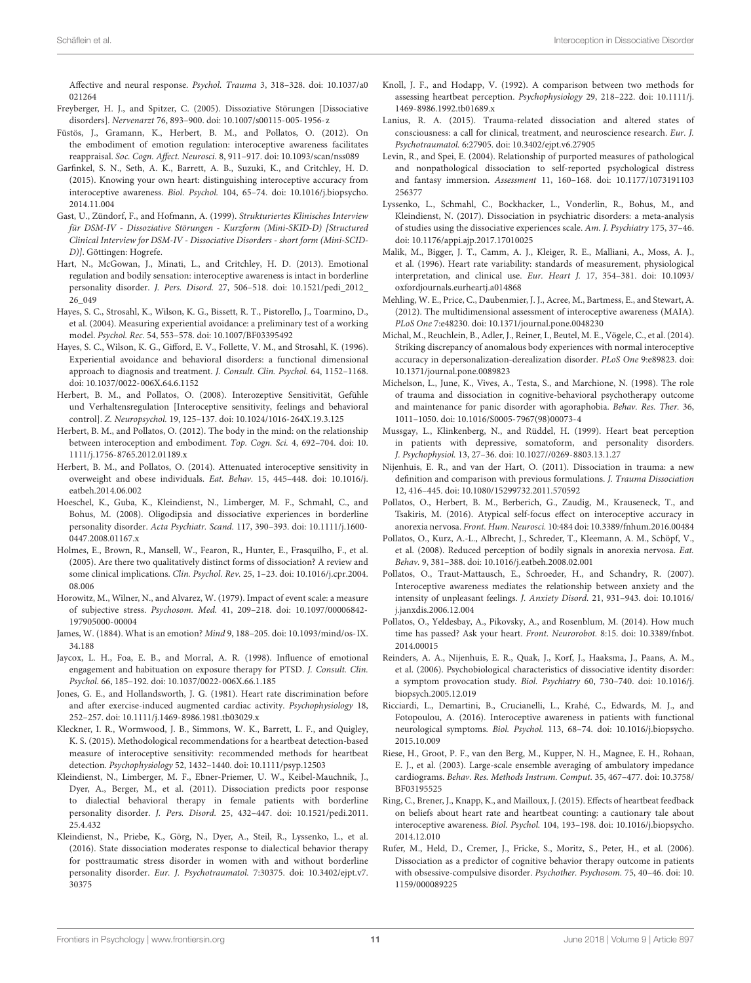Affective and neural response. Psychol. Trauma 3, 318–328. [doi: 10.1037/a0](https://doi.org/10.1037/a0021264) [021264](https://doi.org/10.1037/a0021264)

- <span id="page-10-34"></span>Freyberger, H. J., and Spitzer, C. (2005). Dissoziative Störungen [Dissociative disorders]. Nervenarzt 76, 893–900. [doi: 10.1007/s00115-005-1956-z](https://doi.org/10.1007/s00115-005-1956-z)
- <span id="page-10-25"></span>Füstös, J., Gramann, K., Herbert, B. M., and Pollatos, O. (2012). On the embodiment of emotion regulation: interoceptive awareness facilitates reappraisal. Soc. Cogn. Affect. Neurosci. 8, 911–917. [doi: 10.1093/scan/nss089](https://doi.org/10.1093/scan/nss089)
- <span id="page-10-8"></span>Garfinkel, S. N., Seth, A. K., Barrett, A. B., Suzuki, K., and Critchley, H. D. (2015). Knowing your own heart: distinguishing interoceptive accuracy from interoceptive awareness. Biol. Psychol. 104, 65–74. [doi: 10.1016/j.biopsycho.](https://doi.org/10.1016/j.biopsycho.2014.11.004) [2014.11.004](https://doi.org/10.1016/j.biopsycho.2014.11.004)
- <span id="page-10-27"></span>Gast, U., Zündorf, F., and Hofmann, A. (1999). Strukturiertes Klinisches Interview für DSM-IV - Dissoziative Störungen - Kurzform (Mini-SKID-D) [Structured Clinical Interview for DSM-IV - Dissociative Disorders - short form (Mini-SCID-D)]. Göttingen: Hogrefe.
- <span id="page-10-15"></span>Hart, N., McGowan, J., Minati, L., and Critchley, H. D. (2013). Emotional regulation and bodily sensation: interoceptive awareness is intact in borderline personality disorder. J. Pers. Disord. 27, 506–518. [doi: 10.1521/pedi\\_2012\\_](https://doi.org/10.1521/pedi_2012_26_049) [26\\_049](https://doi.org/10.1521/pedi_2012_26_049)
- <span id="page-10-5"></span>Hayes, S. C., Strosahl, K., Wilson, K. G., Bissett, R. T., Pistorello, J., Toarmino, D., et al. (2004). Measuring experiential avoidance: a preliminary test of a working model. Psychol. Rec. 54, 553–578. [doi: 10.1007/BF03395492](https://doi.org/10.1007/BF03395492)
- <span id="page-10-6"></span>Hayes, S. C., Wilson, K. G., Gifford, E. V., Follette, V. M., and Strosahl, K. (1996). Experiential avoidance and behavioral disorders: a functional dimensional approach to diagnosis and treatment. J. Consult. Clin. Psychol. 64, 1152–1168. [doi: 10.1037/0022-006X.64.6.1152](https://doi.org/10.1037/0022-006X.64.6.1152)
- <span id="page-10-7"></span>Herbert, B. M., and Pollatos, O. (2008). Interozeptive Sensitivität, Gefühle und Verhaltensregulation [Interoceptive sensitivity, feelings and behavioral control]. Z. Neuropsychol. 19, 125–137. [doi: 10.1024/1016-264X.19.3.125](https://doi.org/10.1024/1016-264X.19.3.125)
- <span id="page-10-24"></span>Herbert, B. M., and Pollatos, O. (2012). The body in the mind: on the relationship between interoception and embodiment. Top. Cogn. Sci. 4, 692–704. [doi: 10.](https://doi.org/10.1111/j.1756-8765.2012.01189.x) [1111/j.1756-8765.2012.01189.x](https://doi.org/10.1111/j.1756-8765.2012.01189.x)
- <span id="page-10-13"></span>Herbert, B. M., and Pollatos, O. (2014). Attenuated interoceptive sensitivity in overweight and obese individuals. Eat. Behav. 15, 445–448. [doi: 10.1016/j.](https://doi.org/10.1016/j.eatbeh.2014.06.002) [eatbeh.2014.06.002](https://doi.org/10.1016/j.eatbeh.2014.06.002)
- <span id="page-10-9"></span>Hoeschel, K., Guba, K., Kleindienst, N., Limberger, M. F., Schmahl, C., and Bohus, M. (2008). Oligodipsia and dissociative experiences in borderline personality disorder. Acta Psychiatr. Scand. 117, 390–393. [doi: 10.1111/j.1600-](https://doi.org/10.1111/j.1600-0447.2008.01167.x) [0447.2008.01167.x](https://doi.org/10.1111/j.1600-0447.2008.01167.x)
- <span id="page-10-0"></span>Holmes, E., Brown, R., Mansell, W., Fearon, R., Hunter, E., Frasquilho, F., et al. (2005). Are there two qualitatively distinct forms of dissociation? A review and some clinical implications. Clin. Psychol. Rev. 25, 1–23. [doi: 10.1016/j.cpr.2004.](https://doi.org/10.1016/j.cpr.2004.08.006) [08.006](https://doi.org/10.1016/j.cpr.2004.08.006)
- <span id="page-10-28"></span>Horowitz, M., Wilner, N., and Alvarez, W. (1979). Impact of event scale: a measure of subjective stress. Psychosom. Med. 41, 209–218. [doi: 10.1097/00006842-](https://doi.org/10.1097/00006842-197905000-00004) [197905000-00004](https://doi.org/10.1097/00006842-197905000-00004)
- <span id="page-10-16"></span>James, W. (1884). What is an emotion? Mind 9, 188–205. [doi: 10.1093/mind/os-IX.](https://doi.org/10.1093/mind/os-IX.34.188) [34.188](https://doi.org/10.1093/mind/os-IX.34.188)
- <span id="page-10-26"></span>Jaycox, L. H., Foa, E. B., and Morral, A. R. (1998). Influence of emotional engagement and habituation on exposure therapy for PTSD. J. Consult. Clin. Psychol. 66, 185–192. [doi: 10.1037/0022-006X.66.1.185](https://doi.org/10.1037/0022-006X.66.1.185)
- <span id="page-10-35"></span>Jones, G. E., and Hollandsworth, J. G. (1981). Heart rate discrimination before and after exercise-induced augmented cardiac activity. Psychophysiology 18, 252–257. [doi: 10.1111/j.1469-8986.1981.tb03029.x](https://doi.org/10.1111/j.1469-8986.1981.tb03029.x)
- <span id="page-10-36"></span>Kleckner, I. R., Wormwood, J. B., Simmons, W. K., Barrett, L. F., and Quigley, K. S. (2015). Methodological recommendations for a heartbeat detection-based measure of interoceptive sensitivity: recommended methods for heartbeat detection. Psychophysiology 52, 1432–1440. [doi: 10.1111/psyp.12503](https://doi.org/10.1111/psyp.12503)
- <span id="page-10-22"></span>Kleindienst, N., Limberger, M. F., Ebner-Priemer, U. W., Keibel-Mauchnik, J., Dyer, A., Berger, M., et al. (2011). Dissociation predicts poor response to dialectial behavioral therapy in female patients with borderline personality disorder. J. Pers. Disord. 25, 432–447. [doi: 10.1521/pedi.2011.](https://doi.org/10.1521/pedi.2011.25.4.432) [25.4.432](https://doi.org/10.1521/pedi.2011.25.4.432)
- <span id="page-10-33"></span>Kleindienst, N., Priebe, K., Görg, N., Dyer, A., Steil, R., Lyssenko, L., et al. (2016). State dissociation moderates response to dialectical behavior therapy for posttraumatic stress disorder in women with and without borderline personality disorder. Eur. J. Psychotraumatol. 7:30375. [doi: 10.3402/ejpt.v7.](https://doi.org/10.3402/ejpt.v7.30375) [30375](https://doi.org/10.3402/ejpt.v7.30375)
- <span id="page-10-29"></span>Knoll, J. F., and Hodapp, V. (1992). A comparison between two methods for assessing heartbeat perception. Psychophysiology 29, 218–222. [doi: 10.1111/j.](https://doi.org/10.1111/j.1469-8986.1992.tb01689.x) [1469-8986.1992.tb01689.x](https://doi.org/10.1111/j.1469-8986.1992.tb01689.x)
- <span id="page-10-23"></span>Lanius, R. A. (2015). Trauma-related dissociation and altered states of consciousness: a call for clinical, treatment, and neuroscience research. Eur. J. Psychotraumatol. 6:27905. [doi: 10.3402/ejpt.v6.27905](https://doi.org/10.3402/ejpt.v6.27905)
- <span id="page-10-3"></span>Levin, R., and Spei, E. (2004). Relationship of purported measures of pathological and nonpathological dissociation to self-reported psychological distress and fantasy immersion. Assessment 11, 160–168. [doi: 10.1177/1073191103](https://doi.org/10.1177/1073191103256377) [256377](https://doi.org/10.1177/1073191103256377)
- <span id="page-10-4"></span>Lyssenko, L., Schmahl, C., Bockhacker, L., Vonderlin, R., Bohus, M., and Kleindienst, N. (2017). Dissociation in psychiatric disorders: a meta-analysis of studies using the dissociative experiences scale. Am. J. Psychiatry 175, 37–46. [doi: 10.1176/appi.ajp.2017.17010025](https://doi.org/10.1176/appi.ajp.2017.17010025)
- <span id="page-10-32"></span>Malik, M., Bigger, J. T., Camm, A. J., Kleiger, R. E., Malliani, A., Moss, A. J., et al. (1996). Heart rate variability: standards of measurement, physiological interpretation, and clinical use. Eur. Heart J. 17, 354–381. [doi: 10.1093/](https://doi.org/10.1093/oxfordjournals.eurheartj.a014868) [oxfordjournals.eurheartj.a014868](https://doi.org/10.1093/oxfordjournals.eurheartj.a014868)
- <span id="page-10-17"></span>Mehling, W. E., Price, C., Daubenmier, J. J., Acree, M., Bartmess, E., and Stewart, A. (2012). The multidimensional assessment of interoceptive awareness (MAIA). PLoS One 7:e48230. [doi: 10.1371/journal.pone.0048230](https://doi.org/10.1371/journal.pone.0048230)
- <span id="page-10-14"></span>Michal, M., Reuchlein, B., Adler, J., Reiner, I., Beutel, M. E., Vögele, C., et al. (2014). Striking discrepancy of anomalous body experiences with normal interoceptive accuracy in depersonalization-derealization disorder. PLoS One 9:e89823. [doi:](https://doi.org/10.1371/journal.pone.0089823) [10.1371/journal.pone.0089823](https://doi.org/10.1371/journal.pone.0089823)
- <span id="page-10-20"></span>Michelson, L., June, K., Vives, A., Testa, S., and Marchione, N. (1998). The role of trauma and dissociation in cognitive-behavioral psychotherapy outcome and maintenance for panic disorder with agoraphobia. Behav. Res. Ther. 36, 1011–1050. [doi: 10.1016/S0005-7967\(98\)00073-4](https://doi.org/10.1016/S0005-7967(98)00073-4)
- <span id="page-10-10"></span>Mussgay, L., Klinkenberg, N., and Rüddel, H. (1999). Heart beat perception in patients with depressive, somatoform, and personality disorders. J. Psychophysiol. 13, 27–36. [doi: 10.1027//0269-8803.13.1.27](https://doi.org/10.1027//0269-8803.13.1.27)
- <span id="page-10-1"></span>Nijenhuis, E. R., and van der Hart, O. (2011). Dissociation in trauma: a new definition and comparison with previous formulations. J. Trauma Dissociation 12, 416–445. [doi: 10.1080/15299732.2011.570592](https://doi.org/10.1080/15299732.2011.570592)
- <span id="page-10-18"></span>Pollatos, O., Herbert, B. M., Berberich, G., Zaudig, M., Krauseneck, T., and Tsakiris, M. (2016). Atypical self-focus effect on interoceptive accuracy in anorexia nervosa. Front. Hum. Neurosci. 10:484 [doi: 10.3389/fnhum.2016.00484](https://doi.org/10.3389/fnhum.2016.00484)
- <span id="page-10-12"></span>Pollatos, O., Kurz, A.-L., Albrecht, J., Schreder, T., Kleemann, A. M., Schöpf, V., et al. (2008). Reduced perception of bodily signals in anorexia nervosa. Eat. Behav. 9, 381–388. [doi: 10.1016/j.eatbeh.2008.02.001](https://doi.org/10.1016/j.eatbeh.2008.02.001)
- <span id="page-10-30"></span>Pollatos, O., Traut-Mattausch, E., Schroeder, H., and Schandry, R. (2007). Interoceptive awareness mediates the relationship between anxiety and the intensity of unpleasant feelings. J. Anxiety Disord. 21, 931–943. [doi: 10.1016/](https://doi.org/10.1016/j.janxdis.2006.12.004) [j.janxdis.2006.12.004](https://doi.org/10.1016/j.janxdis.2006.12.004)
- <span id="page-10-19"></span>Pollatos, O., Yeldesbay, A., Pikovsky, A., and Rosenblum, M. (2014). How much time has passed? Ask your heart. Front. Neurorobot. 8:15. [doi: 10.3389/fnbot.](https://doi.org/10.3389/fnbot.2014.00015) [2014.00015](https://doi.org/10.3389/fnbot.2014.00015)
- <span id="page-10-2"></span>Reinders, A. A., Nijenhuis, E. R., Quak, J., Korf, J., Haaksma, J., Paans, A. M., et al. (2006). Psychobiological characteristics of dissociative identity disorder: a symptom provocation study. Biol. Psychiatry 60, 730–740. [doi: 10.1016/j.](https://doi.org/10.1016/j.biopsych.2005.12.019) [biopsych.2005.12.019](https://doi.org/10.1016/j.biopsych.2005.12.019)
- <span id="page-10-11"></span>Ricciardi, L., Demartini, B., Crucianelli, L., Krahé, C., Edwards, M. J., and Fotopoulou, A. (2016). Interoceptive awareness in patients with functional neurological symptoms. Biol. Psychol. 113, 68–74. [doi: 10.1016/j.biopsycho.](https://doi.org/10.1016/j.biopsycho.2015.10.009) [2015.10.009](https://doi.org/10.1016/j.biopsycho.2015.10.009)
- <span id="page-10-31"></span>Riese, H., Groot, P. F., van den Berg, M., Kupper, N. H., Magnee, E. H., Rohaan, E. J., et al. (2003). Large-scale ensemble averaging of ambulatory impedance cardiograms. Behav. Res. Methods Instrum. Comput. 35, 467–477. [doi: 10.3758/](https://doi.org/10.3758/BF03195525) [BF03195525](https://doi.org/10.3758/BF03195525)
- <span id="page-10-37"></span>Ring, C., Brener, J., Knapp, K., and Mailloux, J. (2015). Effects of heartbeat feedback on beliefs about heart rate and heartbeat counting: a cautionary tale about interoceptive awareness. Biol. Psychol. 104, 193–198. [doi: 10.1016/j.biopsycho.](https://doi.org/10.1016/j.biopsycho.2014.12.010) [2014.12.010](https://doi.org/10.1016/j.biopsycho.2014.12.010)
- <span id="page-10-21"></span>Rufer, M., Held, D., Cremer, J., Fricke, S., Moritz, S., Peter, H., et al. (2006). Dissociation as a predictor of cognitive behavior therapy outcome in patients with obsessive-compulsive disorder. Psychother. Psychosom. 75, 40–46. [doi: 10.](https://doi.org/10.1159/000089225) [1159/000089225](https://doi.org/10.1159/000089225)